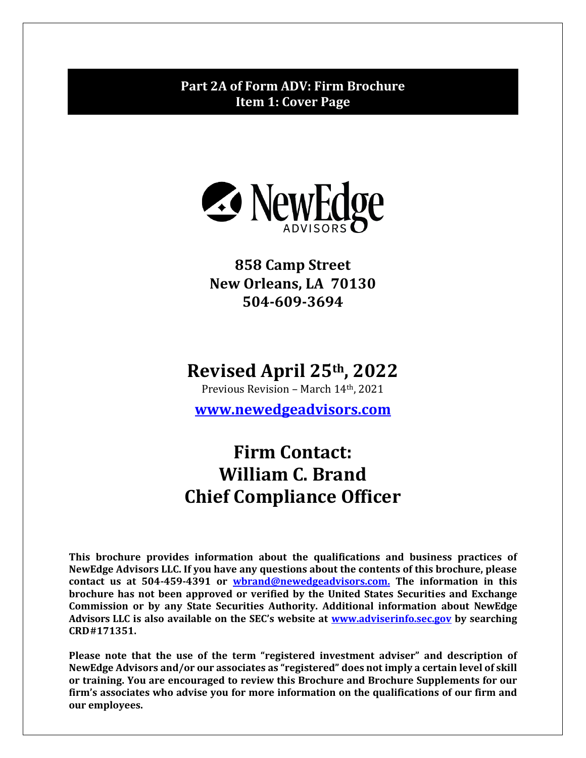# <span id="page-0-0"></span>**Part 2A of Form ADV: Firm Brochure Item 1: Cover Page**



**858 Camp Street New Orleans, LA 70130 504-609-3694**

# **Revised April 25th, 2022**

Previous Revision – March 14th, 2021

**[www.newedgeadvisors.com](http://www.newedgeadvisors.com/)**

# **Firm Contact: William C. Brand Chief Compliance Officer**

**This brochure provides information about the qualifications and business practices of NewEdge Advisors LLC. If you have any questions about the contents of this brochure, please contact us at 504-459-4391 or [wbrand@newedgeadvisors.com.](mailto:wbrand@newedgeadvisors.com.) The information in this brochure has not been approved or verified by the United States Securities and Exchange Commission or by any State Securities Authority. Additional information about NewEdge Advisors LLC is also available on the SEC's website at [www.adviserinfo.sec.gov](http://www.adviserinfo.sec.gov/) by searching CRD#171351.**

**Please note that the use of the term "registered investment adviser" and description of NewEdge Advisors and/or our associates as "registered" does not imply a certain level of skill or training. You are encouraged to review this Brochure and Brochure Supplements for our firm's associates who advise you for more information on the qualifications of our firm and our employees.**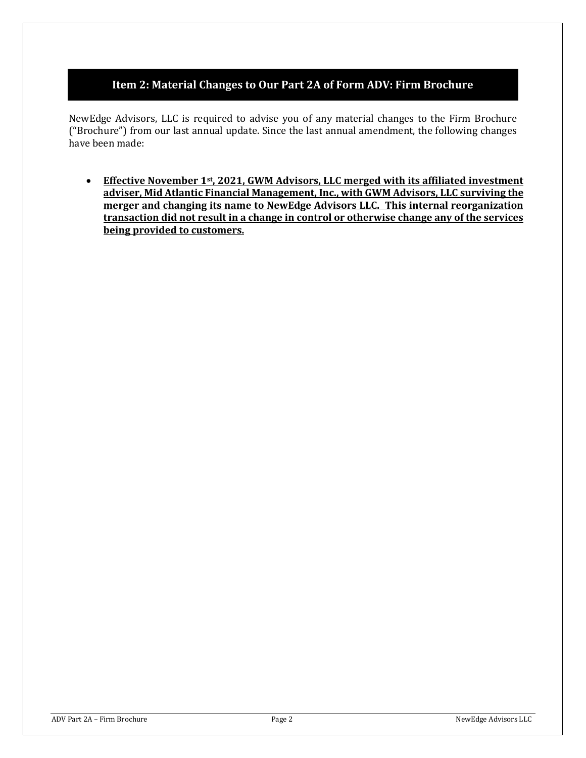## **Item 2: Material Changes to Our Part 2A of Form ADV: Firm Brochure**

<span id="page-1-0"></span>NewEdge Advisors, LLC is required to advise you of any material changes to the Firm Brochure ("Brochure") from our last annual update. Since the last annual amendment, the following changes have been made:

• **Effective November 1st, 2021, GWM Advisors, LLC merged with its affiliated investment adviser, Mid Atlantic Financial Management, Inc., with GWM Advisors, LLC surviving the merger and changing its name to NewEdge Advisors LLC. This internal reorganization transaction did not result in a change in control or otherwise change any of the services being provided to customers.**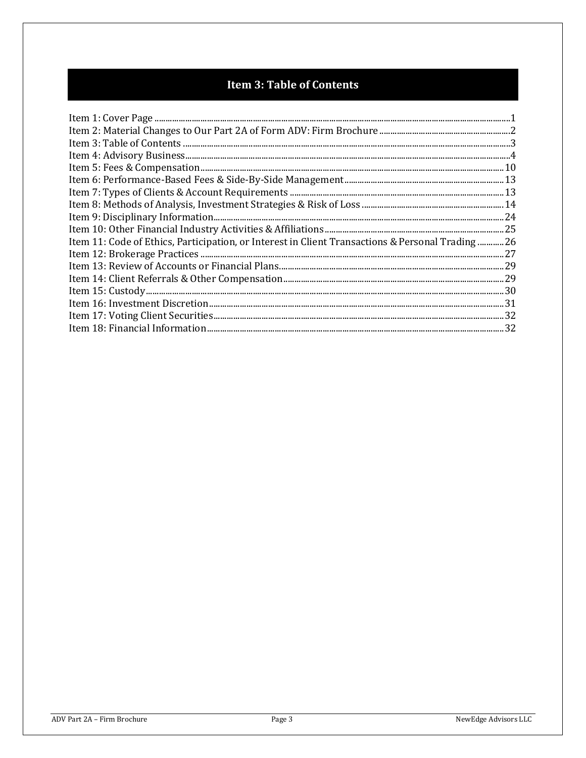# **Item 3: Table of Contents**

<span id="page-2-0"></span>

| 16. Item 11: Code of Ethics, Participation, or Interest in Client Transactions & Personal Trading26 |  |
|-----------------------------------------------------------------------------------------------------|--|
|                                                                                                     |  |
|                                                                                                     |  |
|                                                                                                     |  |
|                                                                                                     |  |
|                                                                                                     |  |
|                                                                                                     |  |
|                                                                                                     |  |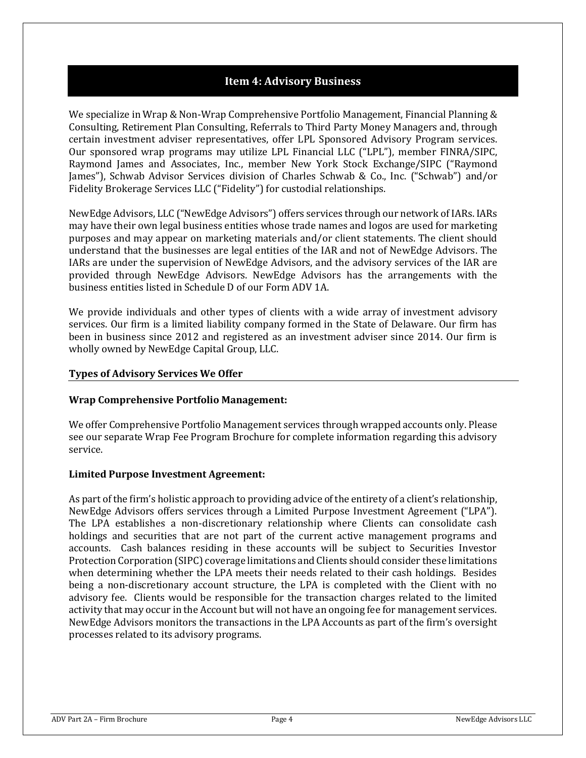## **Item 4: Advisory Business**

<span id="page-3-0"></span>We specialize in Wrap & Non-Wrap Comprehensive Portfolio Management, Financial Planning & Consulting, Retirement Plan Consulting, Referrals to Third Party Money Managers and, through certain investment adviser representatives, offer LPL Sponsored Advisory Program services. Our sponsored wrap programs may utilize LPL Financial LLC ("LPL"), member FINRA/SIPC, Raymond James and Associates, Inc., member New York Stock Exchange/SIPC ("Raymond James"), Schwab Advisor Services division of Charles Schwab & Co., Inc. ("Schwab") and/or Fidelity Brokerage Services LLC ("Fidelity") for custodial relationships.

NewEdge Advisors, LLC ("NewEdge Advisors") offers services through our network of IARs. IARs may have their own legal business entities whose trade names and logos are used for marketing purposes and may appear on marketing materials and/or client statements. The client should understand that the businesses are legal entities of the IAR and not of NewEdge Advisors. The IARs are under the supervision of NewEdge Advisors, and the advisory services of the IAR are provided through NewEdge Advisors. NewEdge Advisors has the arrangements with the business entities listed in Schedule D of our Form ADV 1A.

We provide individuals and other types of clients with a wide array of investment advisory services. Our firm is a limited liability company formed in the State of Delaware. Our firm has been in business since 2012 and registered as an investment adviser since 2014. Our firm is wholly owned by NewEdge Capital Group, LLC.

#### **Types of Advisory Services We Offer**

## **Wrap Comprehensive Portfolio Management:**

We offer Comprehensive Portfolio Management services through wrapped accounts only. Please see our separate Wrap Fee Program Brochure for complete information regarding this advisory service.

#### **Limited Purpose Investment Agreement:**

As part of the firm's holistic approach to providing advice of the entirety of a client's relationship, NewEdge Advisors offers services through a Limited Purpose Investment Agreement ("LPA"). The LPA establishes a non-discretionary relationship where Clients can consolidate cash holdings and securities that are not part of the current active management programs and accounts. Cash balances residing in these accounts will be subject to Securities Investor Protection Corporation (SIPC) coverage limitations and Clients should consider these limitations when determining whether the LPA meets their needs related to their cash holdings. Besides being a non-discretionary account structure, the LPA is completed with the Client with no advisory fee. Clients would be responsible for the transaction charges related to the limited activity that may occur in the Account but will not have an ongoing fee for management services. NewEdge Advisors monitors the transactions in the LPA Accounts as part of the firm's oversight processes related to its advisory programs.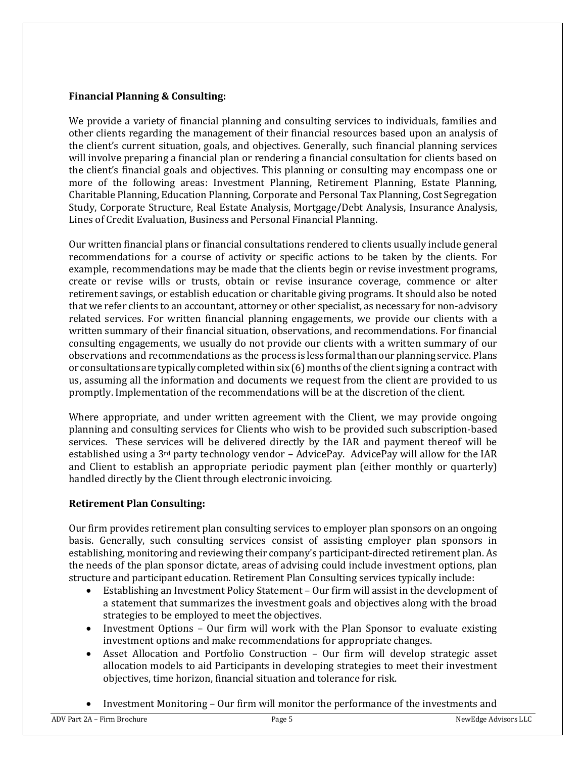#### **Financial Planning & Consulting:**

We provide a variety of financial planning and consulting services to individuals, families and other clients regarding the management of their financial resources based upon an analysis of the client's current situation, goals, and objectives. Generally, such financial planning services will involve preparing a financial plan or rendering a financial consultation for clients based on the client's financial goals and objectives. This planning or consulting may encompass one or more of the following areas: Investment Planning, Retirement Planning, Estate Planning, Charitable Planning, Education Planning, Corporate and Personal Tax Planning, Cost Segregation Study, Corporate Structure, Real Estate Analysis, Mortgage/Debt Analysis, Insurance Analysis, Lines of Credit Evaluation, Business and Personal Financial Planning.

Our written financial plans or financial consultations rendered to clients usually include general recommendations for a course of activity or specific actions to be taken by the clients. For example, recommendations may be made that the clients begin or revise investment programs, create or revise wills or trusts, obtain or revise insurance coverage, commence or alter retirement savings, or establish education or charitable giving programs. It should also be noted that we refer clients to an accountant, attorney or other specialist, as necessary for non-advisory related services. For written financial planning engagements, we provide our clients with a written summary of their financial situation, observations, and recommendations. For financial consulting engagements, we usually do not provide our clients with a written summary of our observations and recommendations as the process is less formalthanour planning service. Plans or consultations aretypicallycompletedwithin six (6) months of the client signing a contract with us, assuming all the information and documents we request from the client are provided to us promptly. Implementation of the recommendations will be at the discretion of the client.

Where appropriate, and under written agreement with the Client, we may provide ongoing planning and consulting services for Clients who wish to be provided such subscription-based services. These services will be delivered directly by the IAR and payment thereof will be established using a 3rd party technology vendor – AdvicePay. AdvicePay will allow for the IAR and Client to establish an appropriate periodic payment plan (either monthly or quarterly) handled directly by the Client through electronic invoicing.

## **Retirement Plan Consulting:**

Our firm provides retirement plan consulting services to employer plan sponsors on an ongoing basis. Generally, such consulting services consist of assisting employer plan sponsors in establishing, monitoring and reviewing their company's participant-directed retirement plan. As the needs of the plan sponsor dictate, areas of advising could include investment options, plan structure and participant education. Retirement Plan Consulting services typically include:

- Establishing an Investment Policy Statement Our firm will assist in the development of a statement that summarizes the investment goals and objectives along with the broad strategies to be employed to meet the objectives.
- Investment Options Our firm will work with the Plan Sponsor to evaluate existing investment options and make recommendations for appropriate changes.
- Asset Allocation and Portfolio Construction Our firm will develop strategic asset allocation models to aid Participants in developing strategies to meet their investment objectives, time horizon, financial situation and tolerance for risk.
- Investment Monitoring Our firm will monitor the performance of the investments and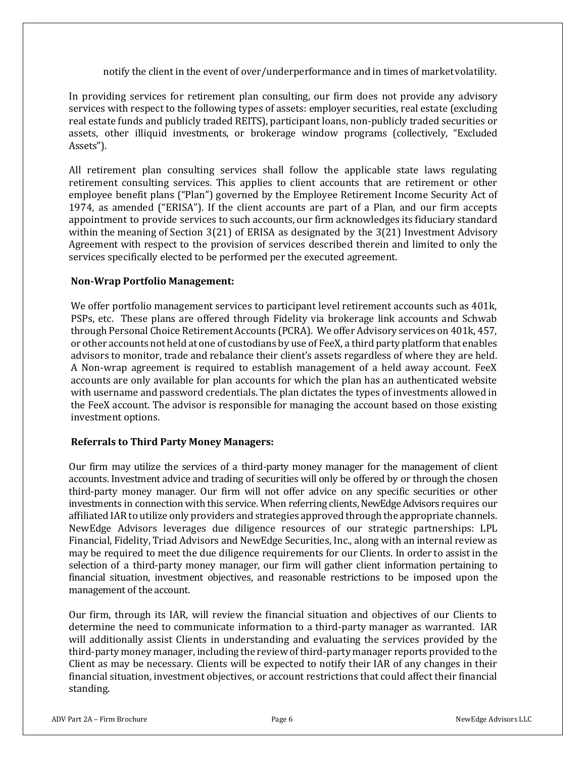notify the client in the event of over/underperformance and in times of marketvolatility.

In providing services for retirement plan consulting, our firm does not provide any advisory services with respect to the following types of assets: employer securities, real estate (excluding real estate funds and publicly traded REITS), participant loans, non-publicly traded securities or assets, other illiquid investments, or brokerage window programs (collectively, "Excluded Assets").

All retirement plan consulting services shall follow the applicable state laws regulating retirement consulting services. This applies to client accounts that are retirement or other employee benefit plans ("Plan") governed by the Employee Retirement Income Security Act of 1974, as amended ("ERISA"). If the client accounts are part of a Plan, and our firm accepts appointment to provide services to such accounts, our firm acknowledges its fiduciary standard within the meaning of Section 3(21) of ERISA as designated by the 3(21) Investment Advisory Agreement with respect to the provision of services described therein and limited to only the services specifically elected to be performed per the executed agreement.

#### **Non-Wrap Portfolio Management:**

We offer portfolio management services to participant level retirement accounts such as 401k, PSPs, etc. These plans are offered through Fidelity via brokerage link accounts and Schwab through Personal Choice Retirement Accounts (PCRA). We offer Advisory services on 401k, 457, or other accounts not held at one of custodians by use of FeeX, a third party platform that enables advisors to monitor, trade and rebalance their client's assets regardless of where they are held. A Non-wrap agreement is required to establish management of a held away account. FeeX accounts are only available for plan accounts for which the plan has an authenticated website with username and password credentials. The plan dictates the types of investments allowed in the FeeX account. The advisor is responsible for managing the account based on those existing investment options.

#### **Referrals to Third Party Money Managers:**

Our firm may utilize the services of a third-party money manager for the management of client accounts. Investment advice and trading of securities will only be offered by or through the chosen third-party money manager. Our firm will not offer advice on any specific securities or other investments in connection with this service. When referring clients, NewEdge Advisors requires our affiliated IAR to utilize only providers and strategies approved through the appropriate channels. NewEdge Advisors leverages due diligence resources of our strategic partnerships: LPL Financial, Fidelity, Triad Advisors and NewEdge Securities, Inc., along with an internal review as may be required to meet the due diligence requirements for our Clients. In order to assist in the selection of a third-party money manager, our firm will gather client information pertaining to financial situation, investment objectives, and reasonable restrictions to be imposed upon the management of the account.

Our firm, through its IAR, will review the financial situation and objectives of our Clients to determine the need to communicate information to a third-party manager as warranted. IAR will additionally assist Clients in understanding and evaluating the services provided by the third-party money manager, including the review of third-party manager reports provided to the Client as may be necessary. Clients will be expected to notify their IAR of any changes in their financial situation, investment objectives, or account restrictions that could affect their financial standing.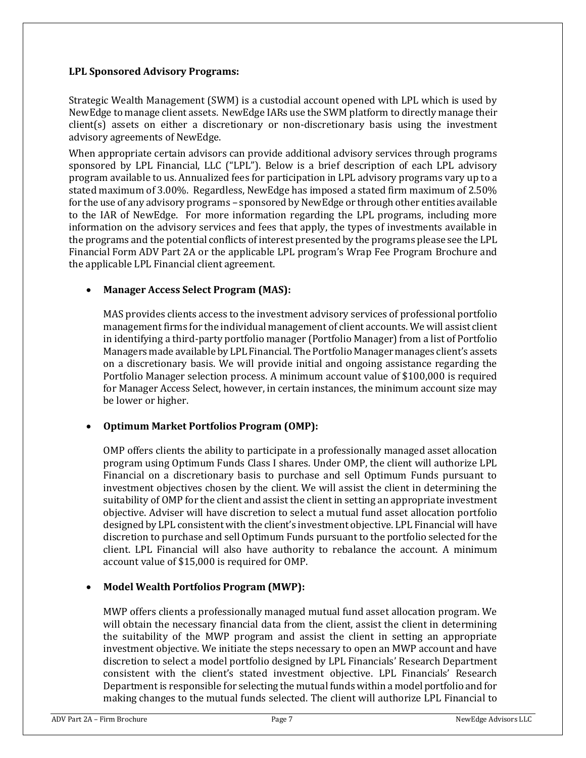#### **LPL Sponsored Advisory Programs:**

Strategic Wealth Management (SWM) is a custodial account opened with LPL which is used by NewEdge to manage client assets. NewEdge IARs use the SWM platform to directly manage their client(s) assets on either a discretionary or non-discretionary basis using the investment advisory agreements of NewEdge.

When appropriate certain advisors can provide additional advisory services through programs sponsored by LPL Financial, LLC ("LPL"). Below is a brief description of each LPL advisory program available to us. Annualized fees for participation in LPL advisory programs vary up to a stated maximum of 3.00%. Regardless, NewEdge has imposed a stated firm maximum of 2.50% for the use of any advisory programs – sponsored by NewEdge or through other entities available to the IAR of NewEdge. For more information regarding the LPL programs, including more information on the advisory services and fees that apply, the types of investments available in the programs and the potential conflicts of interest presented by the programs please see the LPL Financial Form ADV Part 2A or the applicable LPL program's Wrap Fee Program Brochure and the applicable LPL Financial client agreement.

## • **Manager Access Select Program (MAS):**

MAS provides clients access to the investment advisory services of professional portfolio management firms for the individual management of client accounts. We will assist client in identifying a third-party portfolio manager (Portfolio Manager) from a list of Portfolio Managers made availableby LPL Financial. The Portfolio Manager manages client's assets on a discretionary basis. We will provide initial and ongoing assistance regarding the Portfolio Manager selection process. A minimum account value of \$100,000 is required for Manager Access Select, however, in certain instances, the minimum account size may be lower or higher.

## • **Optimum Market Portfolios Program (OMP):**

OMP offers clients the ability to participate in a professionally managed asset allocation program using Optimum Funds Class I shares. Under OMP, the client will authorize LPL Financial on a discretionary basis to purchase and sell Optimum Funds pursuant to investment objectives chosen by the client. We will assist the client in determining the suitability of OMP for the client and assist the client in setting an appropriate investment objective. Adviser will have discretion to select a mutual fund asset allocation portfolio designed by LPL consistent with the client's investment objective. LPL Financial will have discretion to purchase and sell Optimum Funds pursuant to the portfolio selected for the client. LPL Financial will also have authority to rebalance the account. A minimum account value of \$15,000 is required for OMP.

## • **Model Wealth Portfolios Program (MWP):**

MWP offers clients a professionally managed mutual fund asset allocation program. We will obtain the necessary financial data from the client, assist the client in determining the suitability of the MWP program and assist the client in setting an appropriate investment objective. We initiate the steps necessary to open an MWP account and have discretion to select a model portfolio designed by LPL Financials' Research Department consistent with the client's stated investment objective. LPL Financials' Research Department is responsible for selecting the mutual funds within a model portfolio and for making changes to the mutual funds selected. The client will authorize LPL Financial to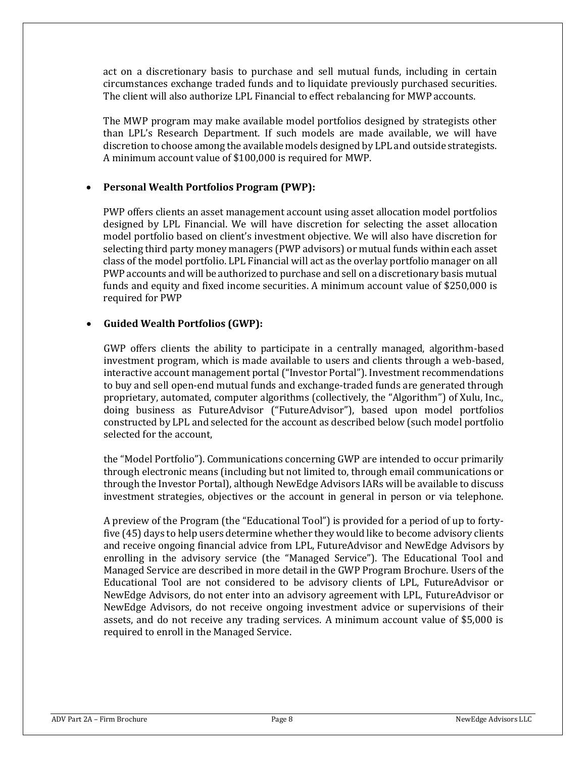act on a discretionary basis to purchase and sell mutual funds, including in certain circumstances exchange traded funds and to liquidate previously purchased securities. The client will also authorize LPL Financial to effect rebalancing for MWP accounts.

The MWP program may make available model portfolios designed by strategists other than LPL's Research Department. If such models are made available, we will have discretion to choose among the available models designed by LPL and outside strategists. A minimum account value of \$100,000 is required for MWP.

#### • **Personal Wealth Portfolios Program (PWP):**

PWP offers clients an asset management account using asset allocation model portfolios designed by LPL Financial. We will have discretion for selecting the asset allocation model portfolio based on client's investment objective. We will also have discretion for selecting third party money managers (PWP advisors) or mutual funds within each asset class of the model portfolio. LPL Financial will act as the overlay portfolio manager on all PWP accounts and will be authorized to purchase and sell on a discretionary basis mutual funds and equity and fixed income securities. A minimum account value of \$250,000 is required for PWP

#### • **Guided Wealth Portfolios (GWP):**

GWP offers clients the ability to participate in a centrally managed, algorithm-based investment program, which is made available to users and clients through a web-based, interactive account management portal ("Investor Portal"). Investment recommendations to buy and sell open-end mutual funds and exchange-traded funds are generated through proprietary, automated, computer algorithms (collectively, the "Algorithm") of Xulu, Inc., doing business as FutureAdvisor ("FutureAdvisor"), based upon model portfolios constructed by LPL and selected for the account as described below (such model portfolio selected for the account,

the "Model Portfolio"). Communications concerning GWP are intended to occur primarily through electronic means (including but not limited to, through email communications or through the Investor Portal), although NewEdge Advisors IARs will be available to discuss investment strategies, objectives or the account in general in person or via telephone.

A preview of the Program (the "Educational Tool") is provided for a period of up to fortyfive (45) days to help users determine whether they would like to become advisory clients and receive ongoing financial advice from LPL, FutureAdvisor and NewEdge Advisors by enrolling in the advisory service (the "Managed Service"). The Educational Tool and Managed Service are described in more detail in the GWP Program Brochure. Users of the Educational Tool are not considered to be advisory clients of LPL, FutureAdvisor or NewEdge Advisors, do not enter into an advisory agreement with LPL, FutureAdvisor or NewEdge Advisors, do not receive ongoing investment advice or supervisions of their assets, and do not receive any trading services. A minimum account value of \$5,000 is required to enroll in the Managed Service.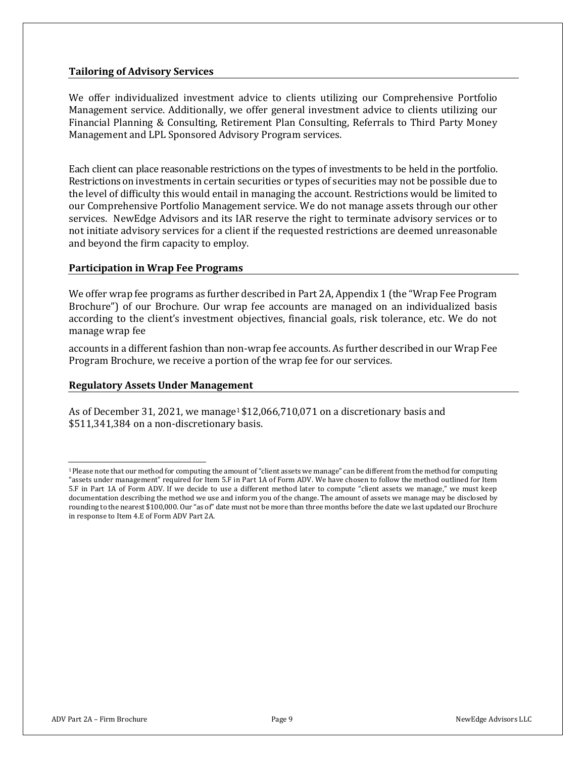#### **Tailoring of Advisory Services**

We offer individualized investment advice to clients utilizing our Comprehensive Portfolio Management service. Additionally, we offer general investment advice to clients utilizing our Financial Planning & Consulting, Retirement Plan Consulting, Referrals to Third Party Money Management and LPL Sponsored Advisory Program services.

Each client can place reasonable restrictions on the types of investments to be held in the portfolio. Restrictions on investments in certain securities or types of securities may not be possible due to the level of difficulty this would entail in managing the account. Restrictions would be limited to our Comprehensive Portfolio Management service. We do not manage assets through our other services. NewEdge Advisors and its IAR reserve the right to terminate advisory services or to not initiate advisory services for a client if the requested restrictions are deemed unreasonable and beyond the firm capacity to employ.

#### **Participation in Wrap Fee Programs**

We offer wrap fee programs as further described in Part 2A, Appendix 1 (the "Wrap Fee Program Brochure") of our Brochure. Our wrap fee accounts are managed on an individualized basis according to the client's investment objectives, financial goals, risk tolerance, etc. We do not manage wrap fee

accounts in a different fashion than non-wrap fee accounts. As further described in our Wrap Fee Program Brochure, we receive a portion of the wrap fee for our services.

#### **Regulatory Assets Under Management**

As of December 31, 2021, we manage<sup>1</sup> \$12,066,710,071 on a discretionary basis and \$511,341,384 on a non-discretionary basis.

<sup>1</sup>Please note that our method for computing the amount of "client assets we manage" can be different from the method for computing "assets under management" required for Item 5.F in Part 1A of Form ADV. We have chosen to follow the method outlined for Item 5.F in Part 1A of Form ADV. If we decide to use a different method later to compute "client assets we manage," we must keep documentation describing the method we use and inform you of the change. The amount of assets we manage may be disclosed by rounding to the nearest \$100,000. Our "as of" date must not be more than three months before the date we last updated our Brochure in response to Item 4.E of Form ADV Part 2A.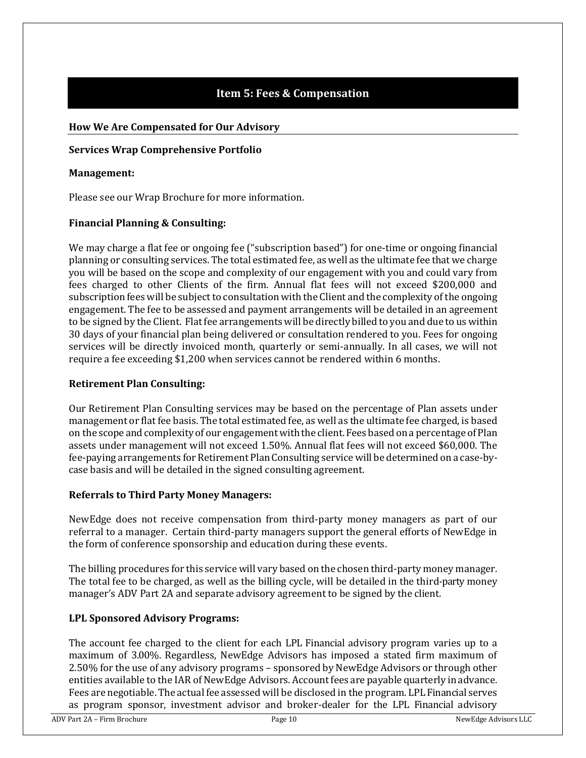# **Item 5: Fees & Compensation**

#### <span id="page-9-0"></span>**How We Are Compensated for Our Advisory**

#### **Services Wrap Comprehensive Portfolio**

#### **Management:**

Please see our Wrap Brochure for more information.

#### **Financial Planning & Consulting:**

We may charge a flat fee or ongoing fee ("subscription based") for one-time or ongoing financial planning or consulting services. The total estimated fee, as well as the ultimate fee that we charge you will be based on the scope and complexity of our engagement with you and could vary from fees charged to other Clients of the firm. Annual flat fees will not exceed \$200,000 and subscription fees will be subject to consultation with the Client and the complexity of the ongoing engagement. The fee to be assessed and payment arrangements will be detailed in an agreement to be signed by the Client. Flatfee arrangements will be directly billed to you and due to us within 30 days of your financial plan being delivered or consultation rendered to you. Fees for ongoing services will be directly invoiced month, quarterly or semi-annually. In all cases, we will not require a fee exceeding \$1,200 when services cannot be rendered within 6 months.

#### **Retirement Plan Consulting:**

Our Retirement Plan Consulting services may be based on the percentage of Plan assets under management or flat fee basis. The total estimated fee, as well as the ultimate fee charged, is based on the scope andcomplexityof our engagementwiththe client. Fees based ona percentage of Plan assets under management will not exceed 1.50%. Annual flat fees will not exceed \$60,000. The fee-paying arrangements for Retirement PlanConsulting service will be determined on a case-bycase basis and will be detailed in the signed consulting agreement.

#### **Referrals to Third Party Money Managers:**

NewEdge does not receive compensation from third-party money managers as part of our referral to a manager. Certain third-party managers support the general efforts of NewEdge in the form of conference sponsorship and education during these events.

The billing procedures for this service will vary based on the chosen third-party money manager. The total fee to be charged, as well as the billing cycle, will be detailed in the third-party money manager's ADV Part 2A and separate advisory agreement to be signed by the client.

## **LPL Sponsored Advisory Programs:**

The account fee charged to the client for each LPL Financial advisory program varies up to a maximum of 3.00%. Regardless, NewEdge Advisors has imposed a stated firm maximum of 2.50% for the use of any advisory programs – sponsored by NewEdge Advisors or through other entities available to the IAR of NewEdge Advisors. Account fees are payable quarterly in advance. Fees are negotiable.The actual fee assessed will be disclosed in the program. LPL Financial serves as program sponsor, investment advisor and broker-dealer for the LPL Financial advisory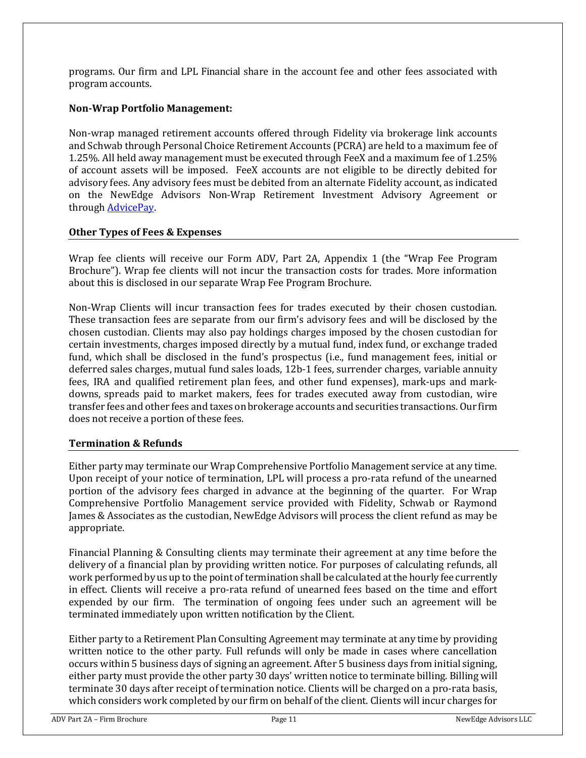programs. Our firm and LPL Financial share in the account fee and other fees associated with program accounts.

#### **Non-Wrap Portfolio Management:**

Non-wrap managed retirement accounts offered through Fidelity via brokerage link accounts and Schwab through Personal Choice Retirement Accounts (PCRA) are held to a maximum fee of 1.25%. All held away management must be executed through FeeX and a maximum fee of 1.25% of account assets will be imposed. FeeX accounts are not eligible to be directly debited for advisory fees. Any advisory fees must be debited from an alternate Fidelity account, as indicated on the NewEdge Advisors Non-Wrap Retirement Investment Advisory Agreement or through [AdvicePay.](https://help.gossgateway.com/en/article/advicepay-overview)

#### **Other Types of Fees & Expenses**

Wrap fee clients will receive our Form ADV, Part 2A, Appendix 1 (the "Wrap Fee Program Brochure"). Wrap fee clients will not incur the transaction costs for trades. More information about this is disclosed in our separate Wrap Fee Program Brochure.

Non-Wrap Clients will incur transaction fees for trades executed by their chosen custodian. These transaction fees are separate from our firm's advisory fees and will be disclosed by the chosen custodian. Clients may also pay holdings charges imposed by the chosen custodian for certain investments, charges imposed directly by a mutual fund, index fund, or exchange traded fund, which shall be disclosed in the fund's prospectus (i.e., fund management fees, initial or deferred sales charges, mutual fund sales loads, 12b-1 fees, surrender charges, variable annuity fees, IRA and qualified retirement plan fees, and other fund expenses), mark-ups and markdowns, spreads paid to market makers, fees for trades executed away from custodian, wire transfer fees and other fees and taxes on brokerage accounts and securities transactions. Our firm does not receive a portion of these fees.

#### **Termination & Refunds**

Either party may terminate our Wrap Comprehensive Portfolio Management service at any time. Upon receipt of your notice of termination, LPL will process a pro-rata refund of the unearned portion of the advisory fees charged in advance at the beginning of the quarter. For Wrap Comprehensive Portfolio Management service provided with Fidelity, Schwab or Raymond James & Associates as the custodian, NewEdge Advisors will process the client refund as may be appropriate.

Financial Planning & Consulting clients may terminate their agreement at any time before the delivery of a financial plan by providing written notice. For purposes of calculating refunds, all work performed by us up to the point of termination shall be calculated at the hourly fee currently in effect. Clients will receive a pro-rata refund of unearned fees based on the time and effort expended by our firm. The termination of ongoing fees under such an agreement will be terminated immediately upon written notification by the Client.

Either party to a Retirement Plan Consulting Agreement may terminate at any time by providing written notice to the other party. Full refunds will only be made in cases where cancellation occurs within 5 business days of signing an agreement. After 5 business days from initial signing, either party must provide the other party 30 days' written notice to terminate billing. Billing will terminate 30 days after receipt of termination notice. Clients will be charged on a pro-rata basis, which considers work completed by our firm on behalf of the client. Clients will incur charges for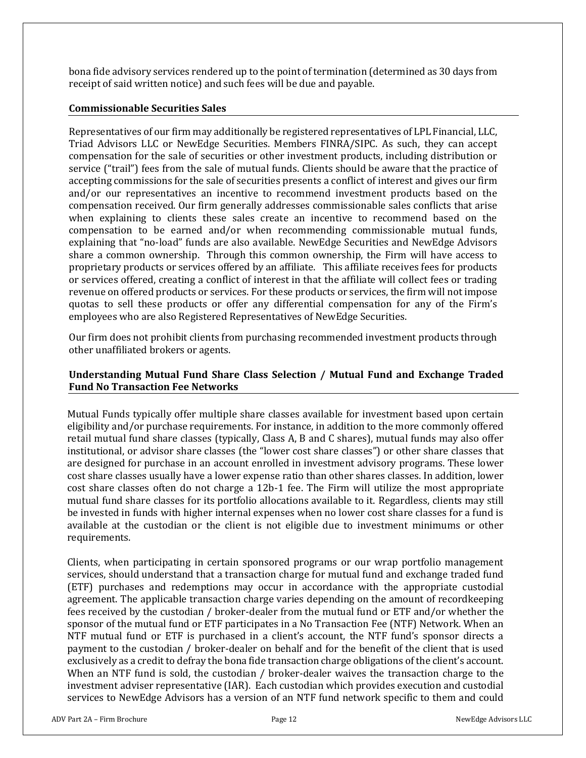bona fide advisory services rendered up to the point of termination (determined as 30 days from receipt of said written notice) and such fees will be due and payable.

#### **Commissionable Securities Sales**

Representatives of our firm may additionally be registered representatives of LPL Financial, LLC, Triad Advisors LLC or NewEdge Securities. Members FINRA/SIPC. As such, they can accept compensation for the sale of securities or other investment products, including distribution or service ("trail") fees from the sale of mutual funds. Clients should be aware that the practice of accepting commissions for the sale of securities presents a conflict of interest and gives our firm and/or our representatives an incentive to recommend investment products based on the compensation received. Our firm generally addresses commissionable sales conflicts that arise when explaining to clients these sales create an incentive to recommend based on the compensation to be earned and/or when recommending commissionable mutual funds, explaining that "no-load" funds are also available. NewEdge Securities and NewEdge Advisors share a common ownership. Through this common ownership, the Firm will have access to proprietary products or services offered by an affiliate. This affiliate receives fees for products or services offered, creating a conflict of interest in that the affiliate will collect fees or trading revenue on offered products or services. For these products or services, the firm will not impose quotas to sell these products or offer any differential compensation for any of the Firm's employees who are also Registered Representatives of NewEdge Securities.

Our firm does not prohibit clients from purchasing recommended investment products through other unaffiliated brokers or agents.

#### **Understanding Mutual Fund Share Class Selection / Mutual Fund and Exchange Traded Fund No Transaction Fee Networks**

Mutual Funds typically offer multiple share classes available for investment based upon certain eligibility and/or purchase requirements. For instance, in addition to the more commonly offered retail mutual fund share classes (typically, Class A, B and C shares), mutual funds may also offer institutional, or advisor share classes (the "lower cost share classes") or other share classes that are designed for purchase in an account enrolled in investment advisory programs. These lower cost share classes usually have a lower expense ratio than other shares classes. In addition, lower cost share classes often do not charge a 12b-1 fee. The Firm will utilize the most appropriate mutual fund share classes for its portfolio allocations available to it. Regardless, clients may still be invested in funds with higher internal expenses when no lower cost share classes for a fund is available at the custodian or the client is not eligible due to investment minimums or other requirements.

Clients, when participating in certain sponsored programs or our wrap portfolio management services, should understand that a transaction charge for mutual fund and exchange traded fund (ETF) purchases and redemptions may occur in accordance with the appropriate custodial agreement. The applicable transaction charge varies depending on the amount of recordkeeping fees received by the custodian / broker-dealer from the mutual fund or ETF and/or whether the sponsor of the mutual fund or ETF participates in a No Transaction Fee (NTF) Network. When an NTF mutual fund or ETF is purchased in a client's account, the NTF fund's sponsor directs a payment to the custodian / broker-dealer on behalf and for the benefit of the client that is used exclusively as a credit to defray the bona fide transaction charge obligations of the client's account. When an NTF fund is sold, the custodian / broker-dealer waives the transaction charge to the investment adviser representative (IAR). Each custodian which provides execution and custodial services to NewEdge Advisors has a version of an NTF fund network specific to them and could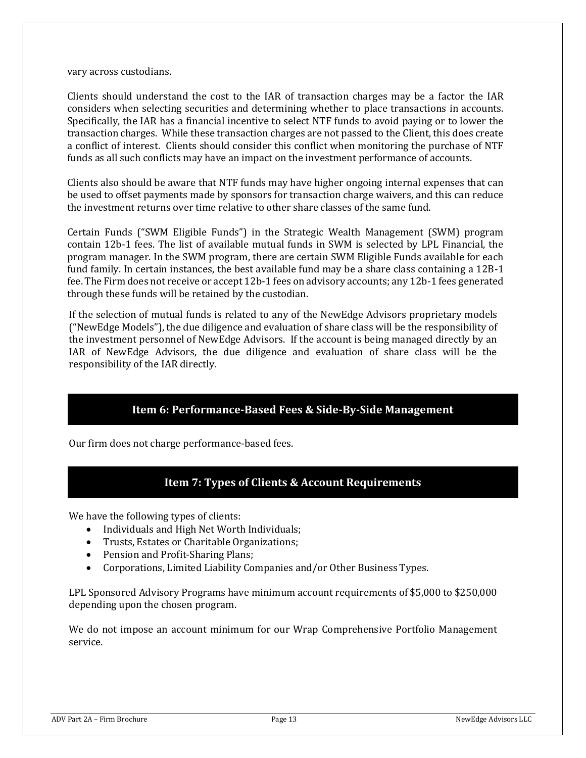#### vary across custodians.

Clients should understand the cost to the IAR of transaction charges may be a factor the IAR considers when selecting securities and determining whether to place transactions in accounts. Specifically, the IAR has a financial incentive to select NTF funds to avoid paying or to lower the transaction charges. While these transaction charges are not passed to the Client, this does create a conflict of interest. Clients should consider this conflict when monitoring the purchase of NTF funds as all such conflicts may have an impact on the investment performance of accounts.

Clients also should be aware that NTF funds may have higher ongoing internal expenses that can be used to offset payments made by sponsors for transaction charge waivers, and this can reduce the investment returns over time relative to other share classes of the same fund.

Certain Funds ("SWM Eligible Funds") in the Strategic Wealth Management (SWM) program contain 12b-1 fees. The list of available mutual funds in SWM is selected by LPL Financial, the program manager. In the SWM program, there are certain SWM Eligible Funds available for each fund family. In certain instances, the best available fund may be a share class containing a 12B-1 fee. The Firm does not receive or accept 12b-1 fees on advisory accounts; any 12b-1 fees generated through these funds will be retained by the custodian.

If the selection of mutual funds is related to any of the NewEdge Advisors proprietary models ("NewEdge Models"), the due diligence and evaluation of share class will be the responsibility of the investment personnel of NewEdge Advisors. If the account is being managed directly by an IAR of NewEdge Advisors, the due diligence and evaluation of share class will be the responsibility of the IAR directly.

## **Item 6: Performance-Based Fees & Side-By-Side Management**

<span id="page-12-1"></span><span id="page-12-0"></span>Our firm does not charge performance-based fees.

## **Item 7: Types of Clients & Account Requirements**

We have the following types of clients:

- Individuals and High Net Worth Individuals;
- Trusts, Estates or Charitable Organizations;
- Pension and Profit-Sharing Plans;
- Corporations, Limited Liability Companies and/or Other Business Types.

LPL Sponsored Advisory Programs have minimum account requirements of \$5,000 to \$250,000 depending upon the chosen program.

We do not impose an account minimum for our Wrap Comprehensive Portfolio Management service.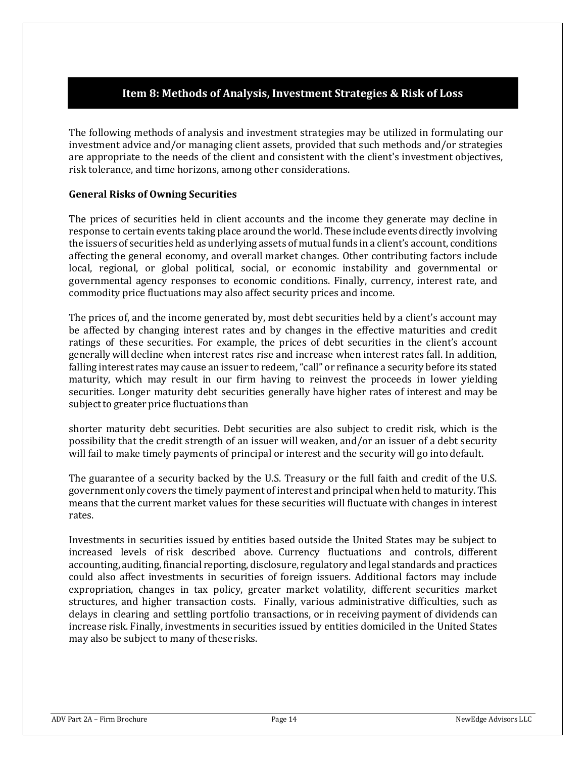# **Item 8: Methods of Analysis, Investment Strategies & Risk of Loss**

<span id="page-13-0"></span>The following methods of analysis and investment strategies may be utilized in formulating our investment advice and/or managing client assets, provided that such methods and/or strategies are appropriate to the needs of the client and consistent with the client's investment objectives, risk tolerance, and time horizons, among other considerations.

#### **General Risks of Owning Securities**

The prices of securities held in client accounts and the income they generate may decline in response to certain events taking place around the world. These include events directly involving the issuers of securities held as underlying assets of mutual funds in a client's account, conditions affecting the general economy, and overall market changes. Other contributing factors include local, regional, or global political, social, or economic instability and governmental or governmental agency responses to economic conditions. Finally, currency, interest rate, and commodity price fluctuations may also affect security prices and income.

The prices of, and the income generated by, most debt securities held by a client's account may be affected by changing interest rates and by changes in the effective maturities and credit ratings of these securities. For example, the prices of debt securities in the client's account generally will decline when interest rates rise and increase when interest rates fall. In addition, falling interest rates may cause an issuer to redeem, "call" or refinance a security before its stated maturity, which may result in our firm having to reinvest the proceeds in lower yielding securities. Longer maturity debt securities generally have higher rates of interest and may be subject to greater price fluctuations than

shorter maturity debt securities. Debt securities are also subject to credit risk, which is the possibility that the credit strength of an issuer will weaken, and/or an issuer of a debt security will fail to make timely payments of principal or interest and the security will go into default.

The guarantee of a security backed by the U.S. Treasury or the full faith and credit of the U.S. government only covers the timely payment of interest and principal when held to maturity. This means that the current market values for these securities will fluctuate with changes in interest rates.

Investments in securities issued by entities based outside the United States may be subject to increased levels of risk described above. Currency fluctuations and controls, different accounting, auditing, financial reporting, disclosure, regulatory and legal standards and practices could also affect investments in securities of foreign issuers. Additional factors may include expropriation, changes in tax policy, greater market volatility, different securities market structures, and higher transaction costs. Finally, various administrative difficulties, such as delays in clearing and settling portfolio transactions, or in receiving payment of dividends can increase risk. Finally, investments in securities issued by entities domiciled in the United States may also be subject to many of theserisks.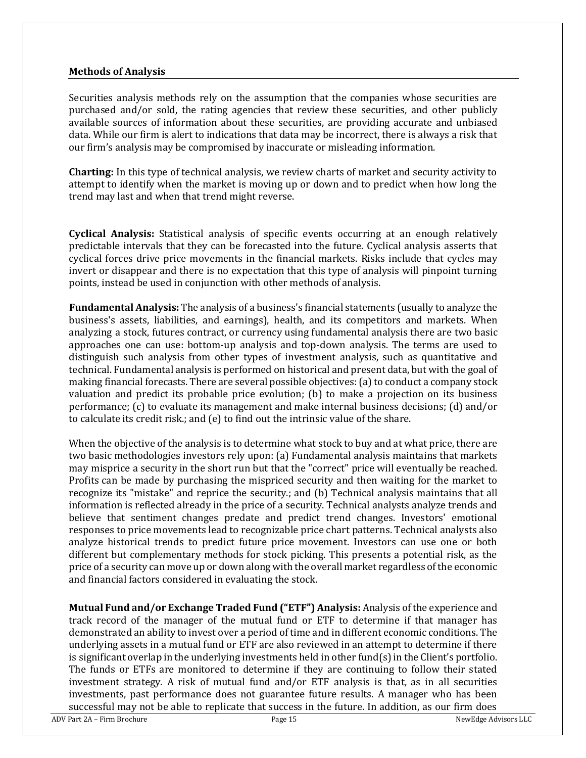#### **Methods of Analysis**

Securities analysis methods rely on the assumption that the companies whose securities are purchased and/or sold, the rating agencies that review these securities, and other publicly available sources of information about these securities, are providing accurate and unbiased data. While our firm is alert to indications that data may be incorrect, there is always a risk that our firm's analysis may be compromised by inaccurate or misleading information.

**Charting:** In this type of technical analysis, we review charts of market and security activity to attempt to identify when the market is moving up or down and to predict when how long the trend may last and when that trend might reverse.

**Cyclical Analysis:** Statistical analysis of specific events occurring at an enough relatively predictable intervals that they can be forecasted into the future. Cyclical analysis asserts that cyclical forces drive price movements in the financial markets. Risks include that cycles may invert or disappear and there is no expectation that this type of analysis will pinpoint turning points, instead be used in conjunction with other methods of analysis.

**Fundamental Analysis:** The analysis of a business's financial statements (usually to analyze the business's assets, liabilities, and earnings), health, and its competitors and markets. When analyzing a stock, futures contract, or currency using fundamental analysis there are two basic approaches one can use: bottom-up analysis and top-down analysis. The terms are used to distinguish such analysis from other types of investment analysis, such as quantitative and technical. Fundamental analysis is performed on historical and present data, but with the goal of making financial forecasts. There are several possible objectives: (a) to conduct a company stock valuation and predict its probable price evolution; (b) to make a projection on its business performance; (c) to evaluate its management and make internal business decisions; (d) and/or to calculate its credit risk.; and (e) to find out the intrinsic value of the share.

When the objective of the analysis is to determine what stock to buy and at what price, there are two basic methodologies investors rely upon: (a) Fundamental analysis maintains that markets may misprice a security in the short run but that the "correct" price will eventually be reached. Profits can be made by purchasing the mispriced security and then waiting for the market to recognize its "mistake" and reprice the security.; and (b) Technical analysis maintains that all information is reflected already in the price of a security. Technical analysts analyze trends and believe that sentiment changes predate and predict trend changes. Investors' emotional responses to price movements lead to recognizable price chart patterns. Technical analysts also analyze historical trends to predict future price movement. Investors can use one or both different but complementary methods for stock picking. This presents a potential risk, as the price of a security can move up or down along with the overall market regardless of the economic and financial factors considered in evaluating the stock.

**Mutual Fund and/or Exchange Traded Fund ("ETF") Analysis:** Analysis of the experience and track record of the manager of the mutual fund or ETF to determine if that manager has demonstrated an ability to invest over a period of time and in different economic conditions. The underlying assets in a mutual fund or ETF are also reviewed in an attempt to determine if there is significant overlap in the underlying investments held in other fund $(s)$  in the Client's portfolio. The funds or ETFs are monitored to determine if they are continuing to follow their stated investment strategy. A risk of mutual fund and/or ETF analysis is that, as in all securities investments, past performance does not guarantee future results. A manager who has been successful may not be able to replicate that success in the future. In addition, as our firm does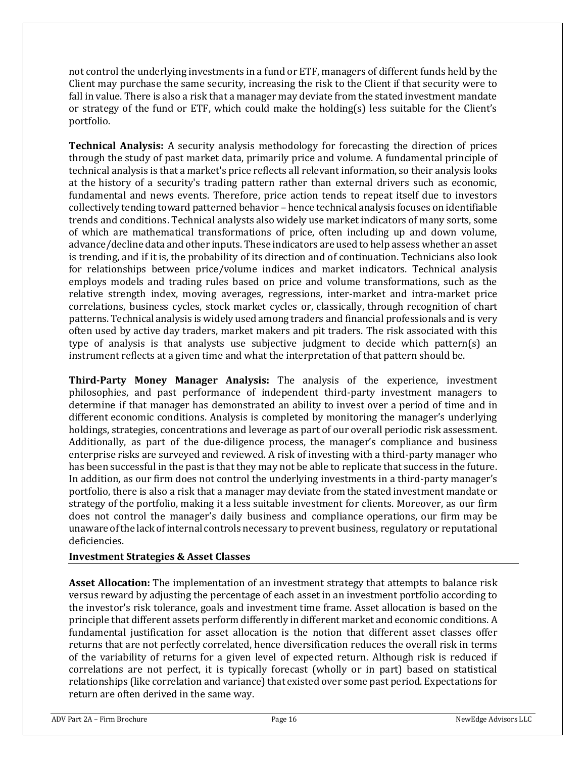not control the underlying investments in a fund or ETF, managers of different funds held by the Client may purchase the same security, increasing the risk to the Client if that security were to fall in value. There is also a risk that a manager may deviate from the stated investment mandate or strategy of the fund or ETF, which could make the holding(s) less suitable for the Client's portfolio.

**Technical Analysis:** A security analysis methodology for forecasting the direction of prices through the study of past market data, primarily price and volume. A fundamental principle of technical analysis is that a market's price reflects all relevant information, so their analysis looks at the history of a security's trading pattern rather than external drivers such as economic, fundamental and news events. Therefore, price action tends to repeat itself due to investors collectively tending toward patterned behavior – hence technical analysis focuses on identifiable trends and conditions. Technical analysts also widely use market indicators of many sorts, some of which are mathematical transformations of price, often including up and down volume, advance/decline data and other inputs. These indicators are used to help assess whether an asset is trending, and if it is, the probability of its direction and of continuation. Technicians also look for relationships between price/volume indices and market indicators. Technical analysis employs models and trading rules based on price and volume transformations, such as the relative strength index, moving averages, regressions, inter-market and intra-market price correlations, business cycles, stock market cycles or, classically, through recognition of chart patterns. Technical analysis is widely used among traders and financial professionals and is very often used by active day traders, market makers and pit traders. The risk associated with this type of analysis is that analysts use subjective judgment to decide which pattern(s) an instrument reflects at a given time and what the interpretation of that pattern should be.

**Third-Party Money Manager Analysis:** The analysis of the experience, investment philosophies, and past performance of independent third-party investment managers to determine if that manager has demonstrated an ability to invest over a period of time and in different economic conditions. Analysis is completed by monitoring the manager's underlying holdings, strategies, concentrations and leverage as part of our overall periodic risk assessment. Additionally, as part of the due-diligence process, the manager's compliance and business enterprise risks are surveyed and reviewed. A risk of investing with a third-party manager who has been successful in the past is that they may not be able to replicate that success in the future. In addition, as our firm does not control the underlying investments in a third-party manager's portfolio, there is also a risk that a manager may deviate from the stated investment mandate or strategy of the portfolio, making it a less suitable investment for clients. Moreover, as our firm does not control the manager's daily business and compliance operations, our firm may be unaware ofthe lack ofinternal controls necessary to prevent business, regulatory or reputational deficiencies.

#### **Investment Strategies & Asset Classes**

**Asset Allocation:** The implementation of an investment strategy that attempts to balance risk versus reward by adjusting the percentage of each asset in an investment portfolio according to the investor's risk tolerance, goals and investment time frame. Asset allocation is based on the principle that different assets perform differently in different market and economic conditions. A fundamental justification for asset allocation is the notion that different asset classes offer returns that are not perfectly correlated, hence diversification reduces the overall risk in terms of the variability of returns for a given level of expected return. Although risk is reduced if correlations are not perfect, it is typically forecast (wholly or in part) based on statistical relationships (like correlation and variance) that existed over some past period. Expectations for return are often derived in the same way.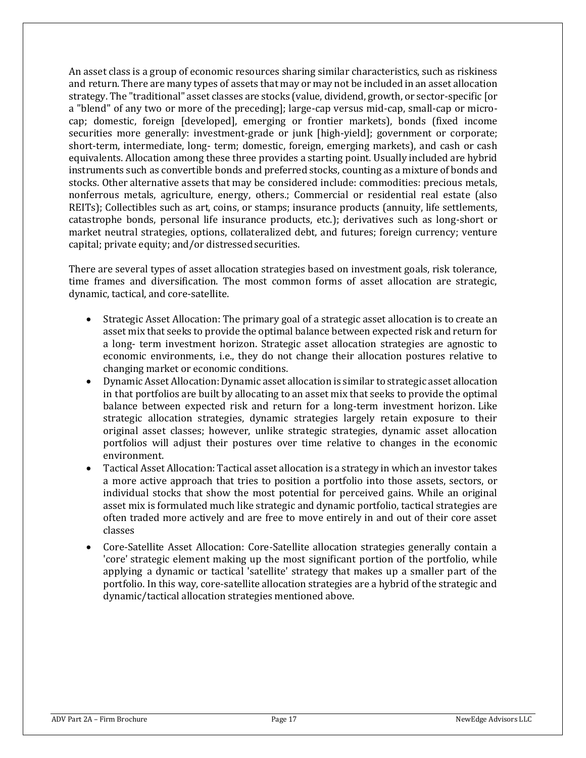An asset class is a group of economic resources sharing similar characteristics, such as riskiness and return. There are many types of assets that may or may not be included in an asset allocation strategy. The "traditional" asset classes are stocks (value, dividend, growth, or sector-specific [or a "blend" of any two or more of the preceding]; large-cap versus mid-cap, small-cap or microcap; domestic, foreign [developed], emerging or frontier markets), bonds (fixed income securities more generally: investment-grade or junk [high-yield]; government or corporate; short-term, intermediate, long- term; domestic, foreign, emerging markets), and cash or cash equivalents. Allocation among these three provides a starting point. Usually included are hybrid instruments such as convertible bonds and preferred stocks, counting as a mixture of bonds and stocks. Other alternative assets that may be considered include: commodities: precious metals, nonferrous metals, agriculture, energy, others.; Commercial or residential real estate (also REITs); Collectibles such as art, coins, or stamps; insurance products (annuity, life settlements, catastrophe bonds, personal life insurance products, etc.); derivatives such as long-short or market neutral strategies, options, collateralized debt, and futures; foreign currency; venture capital; private equity; and/or distressed securities.

There are several types of asset allocation strategies based on investment goals, risk tolerance, time frames and diversification. The most common forms of asset allocation are strategic, dynamic, tactical, and core-satellite.

- Strategic Asset Allocation: The primary goal of a strategic asset allocation is to create an asset mix that seeks to provide the optimal balance between expected risk and return for a long- term investment horizon. Strategic asset allocation strategies are agnostic to economic environments, i.e., they do not change their allocation postures relative to changing market or economic conditions.
- Dynamic Asset Allocation: Dynamic asset allocation is similar to strategic asset allocation in that portfolios are built by allocating to an asset mix that seeks to provide the optimal balance between expected risk and return for a long-term investment horizo[n.](https://en.wikipedia.org/wiki/Asset_allocation#cite_note-idzorek1-3) Like strategic allocation strategies, dynamic strategies largely retain exposure to their original asset classes; however, unlike strategic strategies, dynamic asset allocation portfolios will adjust their postures over time relative to changes in the economic environment.
- Tactical Asset Allocation: Tactical asset allocation is a strategy in which an investor takes a more active approach that tries to position a portfolio into those assets, sectors, or individual stocks that show the most potential for perceived gains. While an original asset mix is formulated much like strategic and dynamic portfolio, tactical strategies are often traded more actively and are free to move entirely in and out of their core asset classes
- Core-Satellite Asset Allocation: Core-Satellite allocation strategies generally contain a 'core' strategic element making up the most significant portion of the portfolio, while applying a dynamic or tactical 'satellite' strategy that makes up a smaller part of the portfolio. In this way, core-satellite allocation strategies are a hybrid of the strategic and dynamic/tactical allocation strategies mentioned above.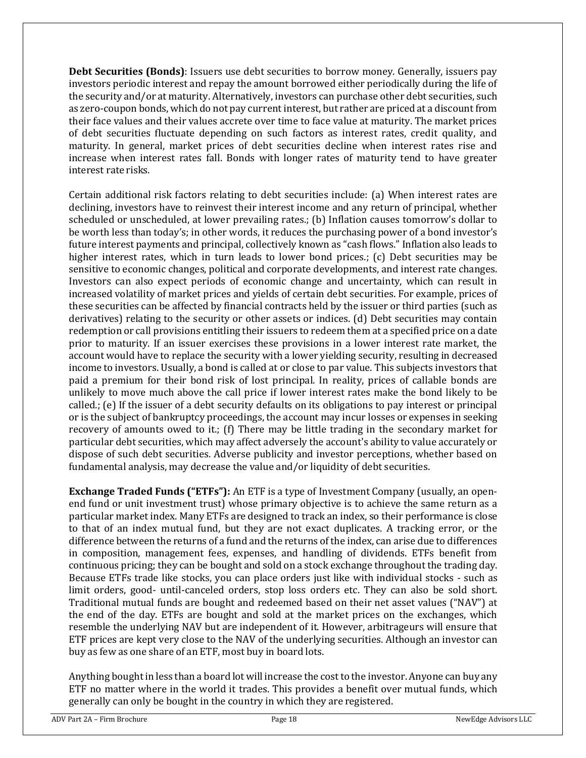**Debt Securities (Bonds)**: Issuers use debt securities to borrow money. Generally, issuers pay investors periodic interest and repay the amount borrowed either periodically during the life of the security and/or at maturity. Alternatively, investors can purchase other debt securities, such as zero-coupon bonds, which do not pay current interest, but rather are priced at a discount from their face values and their values accrete over time to face value at maturity. The market prices of debt securities fluctuate depending on such factors as interest rates, credit quality, and maturity. In general, market prices of debt securities decline when interest rates rise and increase when interest rates fall. Bonds with longer rates of maturity tend to have greater interest rate risks.

Certain additional risk factors relating to debt securities include: (a) When interest rates are declining, investors have to reinvest their interest income and any return of principal, whether scheduled or unscheduled, at lower prevailing rates.; (b) Inflation causes tomorrow's dollar to be worth less than today's; in other words, it reduces the purchasing power of a bond investor's future interest payments and principal, collectively known as "cash flows." Inflation also leads to higher interest rates, which in turn leads to lower bond prices.; (c) Debt securities may be sensitive to economic changes, political and corporate developments, and interest rate changes. Investors can also expect periods of economic change and uncertainty, which can result in increased volatility of market prices and yields of certain debt securities. For example, prices of these securities can be affected by financial contracts held by the issuer or third parties (such as derivatives) relating to the security or other assets or indices. (d) Debt securities may contain redemption or call provisions entitling their issuers to redeem them at a specified price on a date prior to maturity. If an issuer exercises these provisions in a lower interest rate market, the account would have to replace the security with a lower yielding security, resulting in decreased income to investors. Usually, a bond is called at or close to par value. This subjects investors that paid a premium for their bond risk of lost principal. In reality, prices of callable bonds are unlikely to move much above the call price if lower interest rates make the bond likely to be called.; (e) If the issuer of a debt security defaults on its obligations to pay interest or principal or is the subject of bankruptcy proceedings, the account may incur losses or expenses in seeking recovery of amounts owed to it.; (f) There may be little trading in the secondary market for particular debt securities, which may affect adversely the account's ability to value accurately or dispose of such debt securities. Adverse publicity and investor perceptions, whether based on fundamental analysis, may decrease the value and/or liquidity of debt securities.

**Exchange Traded Funds ("ETFs"):** An ETF is a type of Investment Company (usually, an openend fund or unit investment trust) whose primary objective is to achieve the same return as a particular market index. Many ETFs are designed to track an index, so their performance is close to that of an index mutual fund, but they are not exact duplicates. A tracking error, or the difference between the returns of a fund and the returns of the index, can arise due to differences in composition, management fees, expenses, and handling of dividends. ETFs benefit from continuous pricing; they can be bought and sold on a stock exchange throughout the trading day. Because ETFs trade like stocks, you can place orders just like with individual stocks - such as limit orders, good- until-canceled orders, stop loss orders etc. They can also be sold short. Traditional mutual funds are bought and redeemed based on their net asset values ("NAV") at the end of the day. ETFs are bought and sold at the market prices on the exchanges, which resemble the underlying NAV but are independent of it. However, arbitrageurs will ensure that ETF prices are kept very close to the NAV of the underlying securities. Although an investor can buy as few as one share of an ETF, most buy in board lots.

Anything bought in less than a board lot will increase the cost to the investor. Anyone can buy any ETF no matter where in the world it trades. This provides a benefit over mutual funds, which generally can only be bought in the country in which they are registered.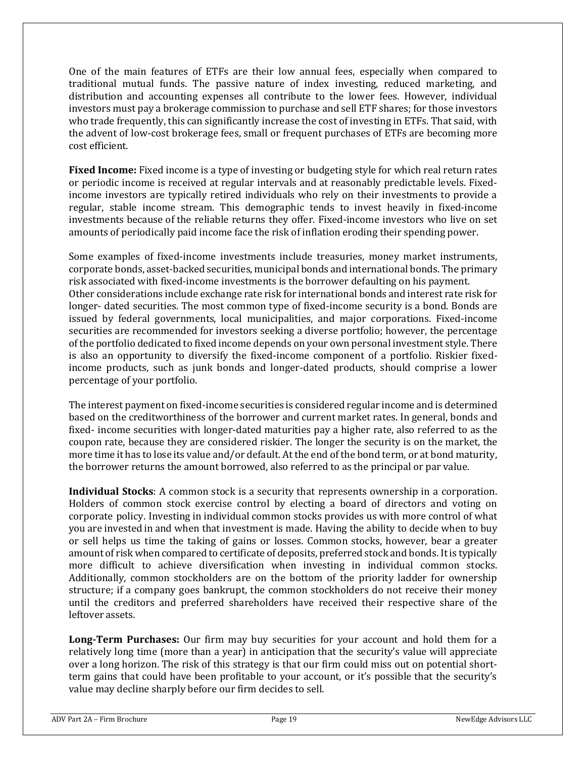One of the main features of ETFs are their low annual fees, especially when compared to traditional mutual funds. The passive nature of index investing, reduced marketing, and distribution and accounting expenses all contribute to the lower fees. However, individual investors must pay a brokerage commission to purchase and sell ETF shares; for those investors who trade frequently, this can significantly increase the cost of investing in ETFs. That said, with the advent of low-cost brokerage fees, small or frequent purchases of ETFs are becoming more cost efficient.

**Fixed Income:** Fixed income is a type of investing or budgeting style for which real return rates or periodic income is received at regular intervals and at reasonably predictable levels. Fixedincome investors are typically retired individuals who rely on their investments to provide a regular, stable income stream. This demographic tends to invest heavily in fixed-income investments because of the reliable returns they offer. Fixed-income investors who live on set amounts of periodically paid income face the risk of inflation eroding their spending power.

Some examples of fixed-income investments include treasuries, money market instruments, corporate bonds, asset-backed securities, municipal bonds and international bonds. The primary risk associated with fixed-income investments is the borrower defaulting on his payment. Other considerations include exchange rate risk for international bonds and interest rate risk for longer- dated securities. The most common type of fixed-income security is a bond. Bonds are issued by federal governments, local municipalities, and major corporations. Fixed-income securities are recommended for investors seeking a diverse portfolio; however, the percentage of the portfolio dedicated to fixed income depends on your own personal investment style. There is also an opportunity to diversify the fixed-income component of a portfolio. Riskier fixedincome products, such as junk bonds and longer-dated products, should comprise a lower percentage of your portfolio.

The interest payment on fixed-income securities is considered regular income and is determined based on the creditworthiness of the borrower and current market rates. In general, bonds and fixed- income securities with longer-dated maturities pay a higher rate, also referred to as the coupon rate, because they are considered riskier. The longer the security is on the market, the more time it has to lose its value and/or default. At the end of the bond term, or at bond maturity, the borrower returns the amount borrowed, also referred to as the principal or par value.

**Individual Stocks**: A common stock is a security that represents ownership in a corporation. Holders of common stock exercise control by electing a board of directors and voting on corporate policy. Investing in individual common stocks provides us with more control of what you are invested in and when that investment is made. Having the ability to decide when to buy or sell helps us time the taking of gains or losses. Common stocks, however, bear a greater amount of riskwhen compared to certificate of deposits, preferred stock and bonds. It is typically more difficult to achieve diversification when investing in individual common stocks. Additionally, common stockholders are on the bottom of the priority ladder for ownership structure; if a company goes bankrupt, the common stockholders do not receive their money until the creditors and preferred shareholders have received their respective share of the leftover assets.

**Long-Term Purchases:** Our firm may buy securities for your account and hold them for a relatively long time (more than a year) in anticipation that the security's value will appreciate over a long horizon. The risk of this strategy is that our firm could miss out on potential shortterm gains that could have been profitable to your account, or it's possible that the security's value may decline sharply before our firm decides to sell.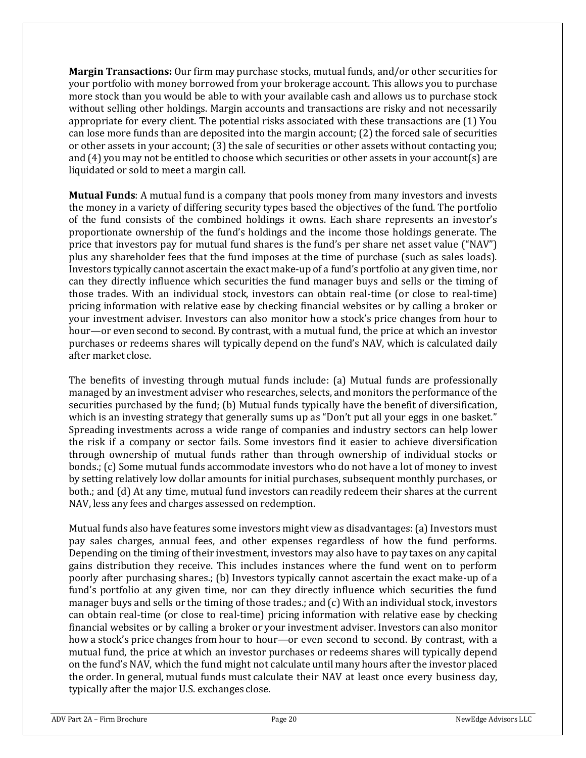**Margin Transactions:** Our firm may purchase stocks, mutual funds, and/or other securities for your portfolio with money borrowed from your brokerage account. This allows you to purchase more stock than you would be able to with your available cash and allows us to purchase stock without selling other holdings. Margin accounts and transactions are risky and not necessarily appropriate for every client. The potential risks associated with these transactions are (1) You can lose more funds than are deposited into the margin account; (2) the forced sale of securities or other assets in your account; (3) the sale of securities or other assets without contacting you; and (4) you may not be entitled to choose which securities or other assets in your account(s) are liquidated or sold to meet a margin call.

**Mutual Funds**: A mutual fund is a company that pools money from many investors and invests the money in a variety of differing security types based the objectives of the fund. The portfolio of the fund consists of the combined holdings it owns. Each share represents an investor's proportionate ownership of the fund's holdings and the income those holdings generate. The price that investors pay for mutual fund shares is the fund's per share net asset value ("NAV") plus any shareholder fees that the fund imposes at the time of purchase (such as sales loads). Investors typically cannot ascertain the exact make-up of a fund's portfolio at any given time, nor can they directly influence which securities the fund manager buys and sells or the timing of those trades. With an individual stock, investors can obtain real-time (or close to real-time) pricing information with relative ease by checking financial websites or by calling a broker or your investment adviser. Investors can also monitor how a stock's price changes from hour to hour—or even second to second. By contrast, with a mutual fund, the price at which an investor purchases or redeems shares will typically depend on the fund's NAV, which is calculated daily after market close.

The benefits of investing through mutual funds include: (a) Mutual funds are professionally managed by an investment adviser who researches, selects, and monitors the performance of the securities purchased by the fund; (b) Mutual funds typically have the benefit of diversification, which is an investing strategy that generally sums up as "Don't put all your eggs in one basket." Spreading investments across a wide range of companies and industry sectors can help lower the risk if a company or sector fails. Some investors find it easier to achieve diversification through ownership of mutual funds rather than through ownership of individual stocks or bonds.; (c) Some mutual funds accommodate investors who do not have a lot of money to invest by setting relatively low dollar amounts for initial purchases, subsequent monthly purchases, or both.; and (d) At any time, mutual fund investors can readily redeem their shares at the current NAV, less any fees and charges assessed on redemption.

Mutual funds also have features some investors might view as disadvantages:(a) Investors must pay sales charges, annual fees, and other expenses regardless of how the fund performs. Depending on the timing of their investment, investors may also have to pay taxes on any capital gains distribution they receive. This includes instances where the fund went on to perform poorly after purchasing shares.; (b) Investors typically cannot ascertain the exact make-up of a fund's portfolio at any given time, nor can they directly influence which securities the fund manager buys and sells or the timing of those trades.; and (c) With an individual stock, investors can obtain real-time (or close to real-time) pricing information with relative ease by checking financial websites or by calling a broker or your investment adviser. Investors can also monitor how a stock's price changes from hour to hour—or even second to second. By contrast, with a mutual fund, the price at which an investor purchases or redeems shares will typically depend on the fund's NAV, which the fund might not calculate until many hours after the investor placed the order. In general, mutual funds must calculate their NAV at least once every business day, typically after the major U.S. exchanges close.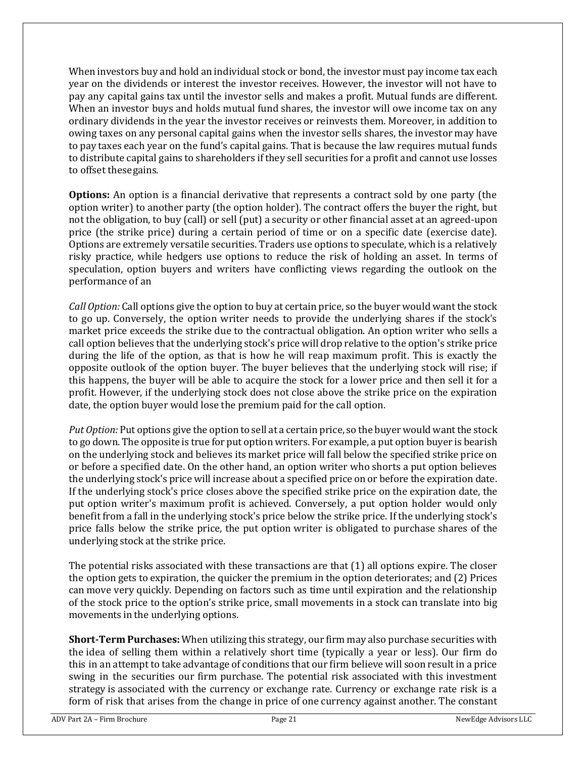When investors buy and hold an individual stock or bond, the investor must pay income tax each year on the dividends or interest the investor receives. However, the investor will not have to pay any capital gains tax until the investor sells and makes a profit. Mutual funds are different. When an investor buys and holds mutual fund shares, the investor will owe income tax on any ordinary dividends in the year the investor receives or reinvests them. Moreover, in addition to owing taxes on any personal capital gains when the investor sells shares, the investor may have to pay taxes each year on the fund's capital gains. That is because the law requires mutual funds to distribute capital gains to shareholders if they sell securities for a profit and cannot use losses to offset thesegains.

**Options:** An option is a financial derivative that represents a contract sold by one party (the option writer) to another party (the option holder). The contract offers the buyer the right, but not the obligation, to buy (call) or sell (put) a security or other financial asset at an agreed-upon price (the strike price) during a certain period of time or on a specific date (exercise date). Options are extremely versatile securities. Traders use options to speculate, which is a relatively risky practice, while hedgers use options to reduce the risk of holding an asset. In terms of speculation, option buyers and writers have conflicting views regarding the outlook on the performance of an

*Call Option:* Call options give the option to buy at certain price, so the buyer would want the stock to go up. Conversely, the option writer needs to provide the underlying shares if the stock's market price exceeds the strike due to the contractual obligation. An option writer who sells a call option believes that the underlying stock's price will drop relative to the option's strike price during the life of the option, as that is how he will reap maximum profit. This is exactly the opposite outlook of the option buyer. The buyer believes that the underlying stock will rise; if this happens, the buyer will be able to acquire the stock for a lower price and then sell it for a profit. However, if the underlying stock does not close above the strike price on the expiration date, the option buyer would lose the premium paid for the call option.

*Put Option:* Put options give the option to sell at a certain price, so the buyer would wantthe stock to go down. The opposite is true for put option writers. For example, a put option buyer is bearish on the underlying stock and believes its market price will fall below the specified strike price on or before a specified date. On the other hand, an option writer who shorts a put option believes the underlying stock's price will increase about a specified price on or before the expiration date. If the underlying stock's price closes above the specified strike price on the expiration date, the put option writer's maximum profit is achieved. Conversely, a put option holder would only benefit from a fall in the underlying stock's price below the strike price. If the underlying stock's price falls below the strike price, the put option writer is obligated to purchase shares of the underlying stock at the strike price.

The potential risks associated with these transactions are that (1) all options expire. The closer the option gets to expiration, the quicker the premium in the option deteriorates; and (2) Prices can move very quickly. Depending on factors such as time until expiration and the relationship of the stock price to the option's strike price, small movements in a stock can translate into big movements in the underlying options.

**Short-Term Purchases:** When utilizing this strategy, our firm may also purchase securities with the idea of selling them within a relatively short time (typically a year or less). Our firm do this in an attempt to take advantage of conditions that our firm believe will soon result in a price swing in the securities our firm purchase. The potential risk associated with this investment strategy is associated with the currency or exchange rate. Currency or exchange rate risk is a form of risk that arises from the change in price of one currency against another. The constant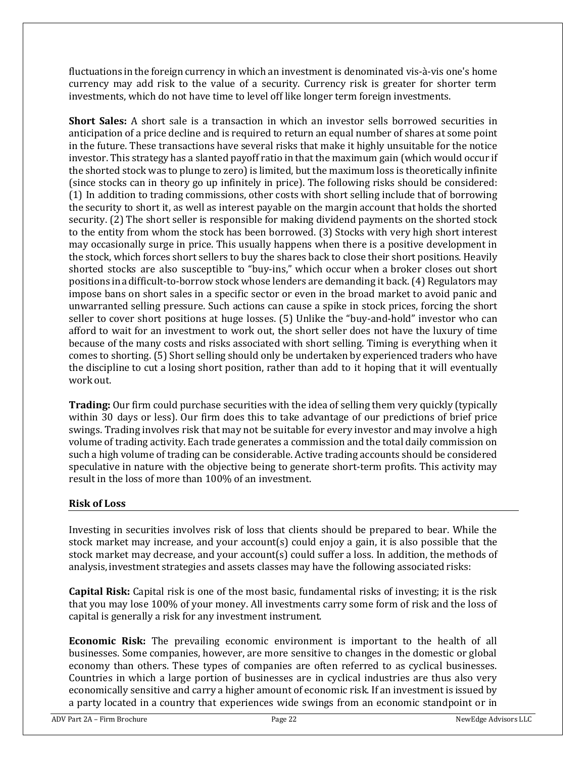fluctuations in the foreign currency in which an investment is denominated vis-à-vis one's home currency may add risk to the value of a security. Currency risk is greater for shorter term investments, which do not have time to level off like longer term foreign investments.

**Short Sales:** A short sale is a transaction in which an investor sells borrowed securities in anticipation of a price decline and is required to return an equal number of shares at some point in the future. These transactions have several risks that make it highly unsuitable for the notice investor. This strategy has a slanted payoff ratio in that the maximum gain (which would occur if the shorted stock was to plunge to zero) is limited, but the maximum loss is theoretically infinite (since stocks can in theory go up infinitely in price). The following risks should be considered: (1) In addition to trading commissions, other costs with short selling include that of borrowing the security to short it, as well as interest payable on the margin account that holds the shorted security. (2) The short seller is responsible for making dividend payments on the shorted stock to the entity from whom the stock has been borrowed. (3) Stocks with very high short interest may occasionally surge in price. This usually happens when there is a positive development in the stock, which forces short sellers to buy the shares back to close their short positions. Heavily shorted stocks are also susceptible to "buy-ins," which occur when a broker closes out short positions inadifficult-to-borrow stock whose lenders are demanding it back. (4) Regulators may impose bans on short sales in a specific sector or even in the broad market to avoid panic and unwarranted selling pressure. Such actions can cause a spike in stock prices, forcing the short seller to cover short positions at huge losses. (5) Unlike the "buy-and-hold" investor who can afford to wait for an investment to work out, the short seller does not have the luxury of time because of the many costs and risks associated with short selling. Timing is everything when it comes to shorting. (5) Short selling should only be undertaken by experienced traders who have the discipline to cut a losing short position, rather than add to it hoping that it will eventually work out.

**Trading:** Our firm could purchase securities with the idea of selling them very quickly (typically within 30 days or less). Our firm does this to take advantage of our predictions of brief price swings. Trading involves risk that may not be suitable for every investor and may involve a high volume of trading activity. Each trade generates a commission and the total daily commission on such a high volume of trading can be considerable. Active trading accounts should be considered speculative in nature with the objective being to generate short-term profits. This activity may result in the loss of more than 100% of an investment.

#### **Risk of Loss**

Investing in securities involves risk of loss that clients should be prepared to bear. While the stock market may increase, and your account(s) could enjoy a gain, it is also possible that the stock market may decrease, and your account(s) could suffer a loss. In addition, the methods of analysis, investment strategies and assets classes may have the following associated risks:

**Capital Risk:** Capital risk is one of the most basic, fundamental risks of investing; it is the risk that you may lose 100% of your money. All investments carry some form of risk and the loss of capital is generally a risk for any investment instrument.

**Economic Risk:** The prevailing economic environment is important to the health of all businesses. Some companies, however, are more sensitive to changes in the domestic or global economy than others. These types of companies are often referred to as cyclical businesses. Countries in which a large portion of businesses are in cyclical industries are thus also very economically sensitive and carry a higher amount of economic risk. If an investment is issued by a party located in a country that experiences wide swings from an economic standpoint or in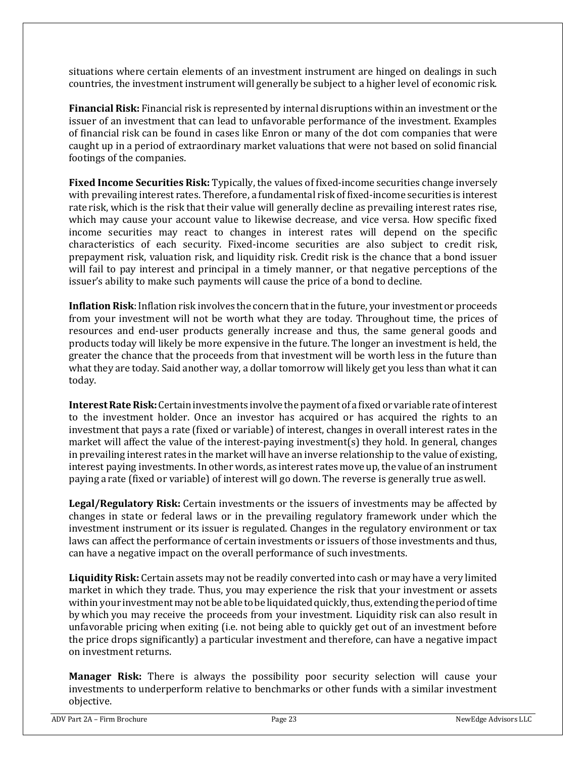situations where certain elements of an investment instrument are hinged on dealings in such countries, the investment instrument will generally be subject to a higher level of economic risk.

**Financial Risk:** Financial risk is represented by internal disruptions within an investment or the issuer of an investment that can lead to unfavorable performance of the investment. Examples of financial risk can be found in cases like Enron or many of the dot com companies that were caught up in a period of extraordinary market valuations that were not based on solid financial footings of the companies.

**Fixed Income Securities Risk:** Typically, the values of fixed-income securities change inversely with prevailing interest rates. Therefore, a fundamental risk of fixed-income securities is interest rate risk, which is the risk that their value will generally decline as prevailing interest rates rise, which may cause your account value to likewise decrease, and vice versa. How specific fixed income securities may react to changes in interest rates will depend on the specific characteristics of each security. Fixed-income securities are also subject to credit risk, prepayment risk, valuation risk, and liquidity risk. Credit risk is the chance that a bond issuer will fail to pay interest and principal in a timely manner, or that negative perceptions of the issuer's ability to make such payments will cause the price of a bond to decline.

**Inflation Risk**: Inflation risk involves the concern that in the future, your investment or proceeds from your investment will not be worth what they are today. Throughout time, the prices of resources and end-user products generally increase and thus, the same general goods and products today will likely be more expensive in the future. The longer an investment is held, the greater the chance that the proceeds from that investment will be worth less in the future than what they are today. Said another way, a dollar tomorrow will likely get you less than what it can today.

Interest Rate Risk: Certain investments involve the payment of a fixed or variable rate of interest to the investment holder. Once an investor has acquired or has acquired the rights to an investment that pays a rate (fixed or variable) of interest, changes in overall interest rates in the market will affect the value of the interest-paying investment(s) they hold. In general, changes in prevailing interest rates in the market will have an inverse relationship to the value of existing, interest paying investments. In other words, as interest rates move up, the value of an instrument paying a rate (fixed or variable) of interest will go down. The reverse is generally true aswell.

**Legal/Regulatory Risk:** Certain investments or the issuers of investments may be affected by changes in state or federal laws or in the prevailing regulatory framework under which the investment instrument or its issuer is regulated. Changes in the regulatory environment or tax laws can affect the performance of certain investments or issuers of those investments and thus, can have a negative impact on the overall performance of such investments.

**Liquidity Risk:** Certain assets may not be readily converted into cash or may have a very limited market in which they trade. Thus, you may experience the risk that your investment or assets within your investment may not be able to be liquidated quickly, thus, extending the period of time by which you may receive the proceeds from your investment. Liquidity risk can also result in unfavorable pricing when exiting (i.e. not being able to quickly get out of an investment before the price drops significantly) a particular investment and therefore, can have a negative impact on investment returns.

**Manager Risk:** There is always the possibility poor security selection will cause your investments to underperform relative to benchmarks or other funds with a similar investment objective.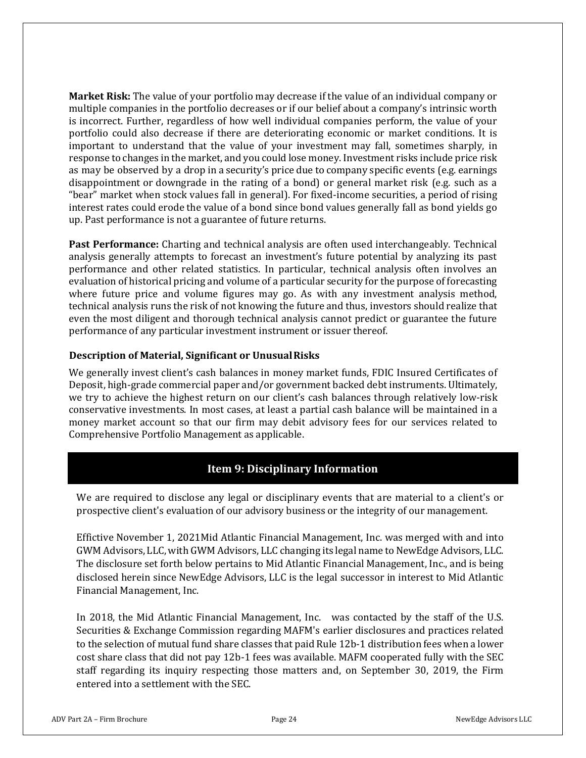**Market Risk:** The value of your portfolio may decrease if the value of an individual company or multiple companies in the portfolio decreases or if our belief about a company's intrinsic worth is incorrect. Further, regardless of how well individual companies perform, the value of your portfolio could also decrease if there are deteriorating economic or market conditions. It is important to understand that the value of your investment may fall, sometimes sharply, in response to changes in the market, and you could lose money. Investment risks include price risk as may be observed by a drop in a security's price due to company specific events (e.g. earnings disappointment or downgrade in the rating of a bond) or general market risk (e.g. such as a "bear" market when stock values fall in general). For fixed-income securities, a period of rising interest rates could erode the value of a bond since bond values generally fall as bond yields go up. Past performance is not a guarantee of future returns.

**Past Performance:** Charting and technical analysis are often used interchangeably. Technical analysis generally attempts to forecast an investment's future potential by analyzing its past performance and other related statistics. In particular, technical analysis often involves an evaluation of historical pricing and volume of a particular security for the purpose of forecasting where future price and volume figures may go. As with any investment analysis method, technical analysis runs the risk of not knowing the future and thus, investors should realize that even the most diligent and thorough technical analysis cannot predict or guarantee the future performance of any particular investment instrument or issuer thereof.

#### **Description of Material, Significant or UnusualRisks**

We generally invest client's cash balances in money market funds, FDIC Insured Certificates of Deposit, high-grade commercial paper and/or government backed debt instruments. Ultimately, we try to achieve the highest return on our client's cash balances through relatively low-risk conservative investments. In most cases, at least a partial cash balance will be maintained in a money market account so that our firm may debit advisory fees for our services related to Comprehensive Portfolio Management as applicable.

## **Item 9: Disciplinary Information**

<span id="page-23-0"></span>We are required to disclose any legal or disciplinary events that are material to a client's or prospective client's evaluation of our advisory business or the integrity of our management.

Effictive November 1, 2021Mid Atlantic Financial Management, Inc. was merged with and into GWM Advisors, LLC, with GWM Advisors, LLC changing its legal name to NewEdge Advisors, LLC. The disclosure set forth below pertains to Mid Atlantic Financial Management, Inc., and is being disclosed herein since NewEdge Advisors, LLC is the legal successor in interest to Mid Atlantic Financial Management, Inc.

In 2018, the Mid Atlantic Financial Management, Inc. was contacted by the staff of the U.S. Securities & Exchange Commission regarding MAFM's earlier disclosures and practices related to the selection of mutual fund share classes that paid Rule 12b-1 distribution fees when a lower cost share class that did not pay 12b-1 fees was available. MAFM cooperated fully with the SEC staff regarding its inquiry respecting those matters and, on September 30, 2019, the Firm entered into a settlement with the SEC.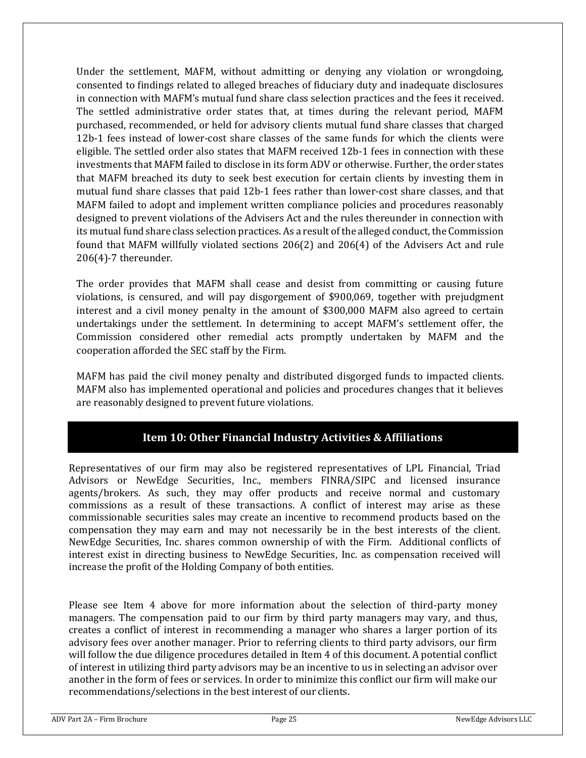Under the settlement, MAFM, without admitting or denying any violation or wrongdoing, consented to findings related to alleged breaches of fiduciary duty and inadequate disclosures in connection with MAFM's mutual fund share class selection practices and the fees it received. The settled administrative order states that, at times during the relevant period, MAFM purchased, recommended, or held for advisory clients mutual fund share classes that charged 12b-1 fees instead of lower-cost share classes of the same funds for which the clients were eligible. The settled order also states that MAFM received 12b-1 fees in connection with these investments that MAFM failed to disclose in its form ADV or otherwise. Further, the order states that MAFM breached its duty to seek best execution for certain clients by investing them in mutual fund share classes that paid 12b-1 fees rather than lower-cost share classes, and that MAFM failed to adopt and implement written compliance policies and procedures reasonably designed to prevent violations of the Advisers Act and the rules thereunder in connection with its mutual fund share class selection practices. As a result of the alleged conduct, the Commission found that MAFM willfully violated sections 206(2) and 206(4) of the Advisers Act and rule 206(4)-7 thereunder.

The order provides that MAFM shall cease and desist from committing or causing future violations, is censured, and will pay disgorgement of \$900,069, together with prejudgment interest and a civil money penalty in the amount of \$300,000 MAFM also agreed to certain undertakings under the settlement. In determining to accept MAFM's settlement offer, the Commission considered other remedial acts promptly undertaken by MAFM and the cooperation afforded the SEC staff by the Firm.

MAFM has paid the civil money penalty and distributed disgorged funds to impacted clients. MAFM also has implemented operational and policies and procedures changes that it believes are reasonably designed to prevent future violations.

# **Item 10: Other Financial Industry Activities & Affiliations**

<span id="page-24-0"></span>Representatives of our firm may also be registered representatives of LPL Financial, Triad Advisors or NewEdge Securities, Inc., members FINRA/SIPC and licensed insurance agents/brokers. As such, they may offer products and receive normal and customary commissions as a result of these transactions. A conflict of interest may arise as these commissionable securities sales may create an incentive to recommend products based on the compensation they may earn and may not necessarily be in the best interests of the client. NewEdge Securities, Inc. shares common ownership of with the Firm. Additional conflicts of interest exist in directing business to NewEdge Securities, Inc. as compensation received will increase the profit of the Holding Company of both entities.

Please see Item 4 above for more information about the selection of third-party money managers. The compensation paid to our firm by third party managers may vary, and thus, creates a conflict of interest in recommending a manager who shares a larger portion of its advisory fees over another manager. Prior to referring clients to third party advisors, our firm will follow the due diligence procedures detailed in Item 4 of this document. A potential conflict of interest in utilizing third party advisors may be an incentive to us in selecting an advisor over another in the form of fees or services. In order to minimize this conflict our firm will make our recommendations/selections in the best interest of our clients.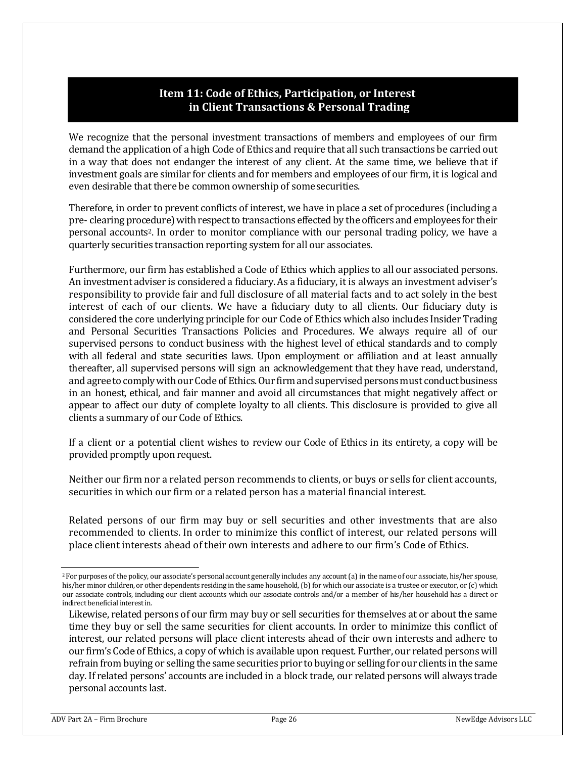## **Item 11: Code of Ethics, Participation, or Interest in Client Transactions & Personal Trading**

<span id="page-25-0"></span>We recognize that the personal investment transactions of members and employees of our firm demand the application of a high Code of Ethics and require that all such transactions be carried out in a way that does not endanger the interest of any client. At the same time, we believe that if investment goals are similar for clients and for members and employees of our firm, it is logical and even desirable that there be common ownership of somesecurities.

Therefore, in order to prevent conflicts of interest, we have in place a set of procedures (including a pre- clearing procedure) with respect to transactions effected by the officers and employees for their personal accounts2. In order to monitor compliance with our personal trading policy, we have a quarterly securities transaction reporting system for all our associates.

Furthermore, our firm has established a Code of Ethics which applies to all our associated persons. An investment adviser is considered a fiduciary. As a fiduciary, it is always an investment adviser's responsibility to provide fair and full disclosure of all material facts and to act solely in the best interest of each of our clients. We have a fiduciary duty to all clients. Our fiduciary duty is considered the core underlying principle for our Code of Ethics which also includes Insider Trading and Personal Securities Transactions Policies and Procedures. We always require all of our supervised persons to conduct business with the highest level of ethical standards and to comply with all federal and state securities laws. Upon employment or affiliation and at least annually thereafter, all supervised persons will sign an acknowledgement that they have read, understand, and agree to comply with our Code of Ethics. Our firm and supervised persons must conduct business in an honest, ethical, and fair manner and avoid all circumstances that might negatively affect or appear to affect our duty of complete loyalty to all clients. This disclosure is provided to give all clients a summary of our Code of Ethics.

If a client or a potential client wishes to review our Code of Ethics in its entirety, a copy will be provided promptly upon request.

Neither our firm nor a related person recommends to clients, or buys or sells for client accounts, securities in which our firm or a related person has a material financial interest.

Related persons of our firm may buy or sell securities and other investments that are also recommended to clients. In order to minimize this conflict of interest, our related persons will place client interests ahead of their own interests and adhere to our firm's Code of Ethics.

<sup>&</sup>lt;sup>2</sup> For purposes of the policy, our associate's personal account generally includes any account (a) in the name of our associate, his/her spouse, his/her minor children, or other dependents residing in the same household, (b) for which our associate is a trustee or executor, or (c) which our associate controls, including our client accounts which our associate controls and/or a member of his/her household has a direct or indirect beneficial interestin.

Likewise, related persons of our firm may buy or sell securities for themselves at or about the same time they buy or sell the same securities for client accounts. In order to minimize this conflict of interest, our related persons will place client interests ahead of their own interests and adhere to our firm's Code of Ethics, a copy of which is available upon request. Further, our related persons will refrain from buying or selling the same securities prior to buying or selling for our clients in the same day. If related persons' accounts are included in a block trade, our related persons will always trade personal accounts last.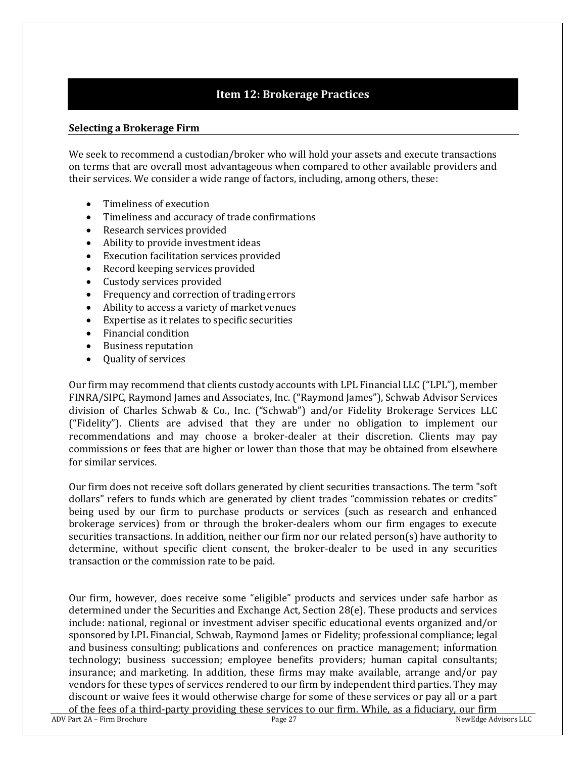## **Item 12: Brokerage Practices**

#### <span id="page-26-0"></span>**Selecting a Brokerage Firm**

We seek to recommend a custodian/broker who will hold your assets and execute transactions on terms that are overall most advantageous when compared to other available providers and their services. We consider a wide range of factors, including, among others, these:

- Timeliness of execution
- Timeliness and accuracy of trade confirmations
- Research services provided
- Ability to provide investment ideas
- Execution facilitation services provided
- Record keeping services provided
- Custody services provided
- Frequency and correction of trading errors
- Ability to access a variety of market venues
- Expertise as it relates to specific securities
- Financial condition
- Business reputation
- Quality of services

Our firm may recommend that clients custody accounts with LPL Financial LLC ("LPL"), member FINRA/SIPC, Raymond James and Associates, Inc. ("Raymond James"), Schwab Advisor Services division of Charles Schwab & Co., Inc. ("Schwab") and/or Fidelity Brokerage Services LLC ("Fidelity"). Clients are advised that they are under no obligation to implement our recommendations and may choose a broker-dealer at their discretion. Clients may pay commissions or fees that are higher or lower than those that may be obtained from elsewhere for similar services.

Our firm does not receive soft dollars generated by client securities transactions. The term "soft dollars" refers to funds which are generated by client trades "commission rebates or credits" being used by our firm to purchase products or services (such as research and enhanced brokerage services) from or through the broker-dealers whom our firm engages to execute securities transactions. In addition, neither our firm nor our related person(s) have authority to determine, without specific client consent, the broker-dealer to be used in any securities transaction or the commission rate to be paid.

ADV Part 2A – Firm Brochure **Page 27** Page 27 **NewEdge Advisors LLC** Our firm, however, does receive some "eligible" products and services under safe harbor as determined under the Securities and Exchange Act, Section 28(e). These products and services include: national, regional or investment adviser specific educational events organized and/or sponsored by LPL Financial, Schwab, Raymond James or Fidelity; professional compliance; legal and business consulting; publications and conferences on practice management; information technology; business succession; employee benefits providers; human capital consultants; insurance; and marketing. In addition, these firms may make available, arrange and/or pay vendors for these types of services rendered to our firm by independent third parties. They may discount or waive fees it would otherwise charge for some of these services or pay all or a part of the fees of a third-party providing these services to our firm. While, as a fiduciary, our firm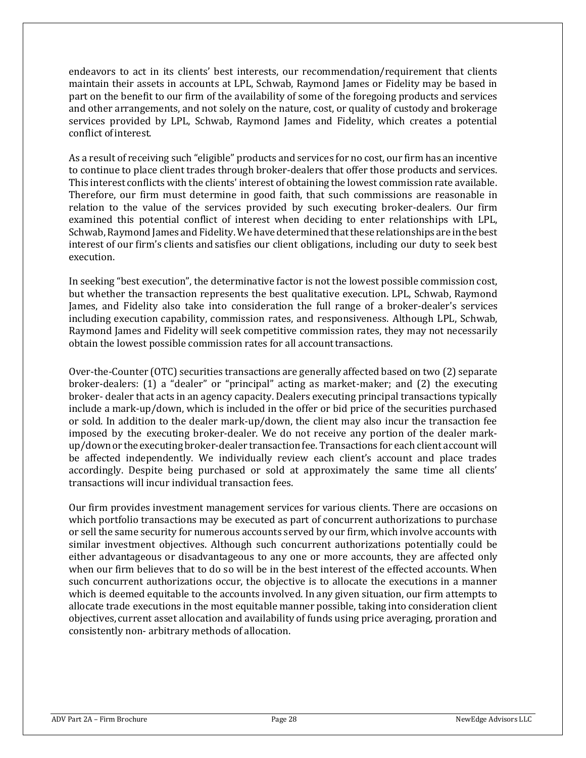endeavors to act in its clients' best interests, our recommendation/requirement that clients maintain their assets in accounts at LPL, Schwab, Raymond James or Fidelity may be based in part on the benefit to our firm of the availability of some of the foregoing products and services and other arrangements, and not solely on the nature, cost, or quality of custody and brokerage services provided by LPL, Schwab, Raymond James and Fidelity, which creates a potential conflict ofinterest.

As a result of receiving such "eligible" products and services for no cost, our firm has an incentive to continue to place client trades through broker-dealers that offer those products and services. This interest conflicts with the clients' interest of obtaining the lowest commission rate available. Therefore, our firm must determine in good faith, that such commissions are reasonable in relation to the value of the services provided by such executing broker-dealers. Our firm examined this potential conflict of interest when deciding to enter relationships with LPL, Schwab, Raymond James and Fidelity. We have determined that these relationships are in the best interest of our firm's clients and satisfies our client obligations, including our duty to seek best execution.

In seeking "best execution", the determinative factor is not the lowest possible commission cost, but whether the transaction represents the best qualitative execution. LPL, Schwab, Raymond James, and Fidelity also take into consideration the full range of a broker-dealer's services including execution capability, commission rates, and responsiveness. Although LPL, Schwab, Raymond James and Fidelity will seek competitive commission rates, they may not necessarily obtain the lowest possible commission rates for all accounttransactions.

Over-the-Counter (OTC) securities transactions are generally affected based on two (2) separate broker-dealers: (1) a "dealer" or "principal" acting as market-maker; and (2) the executing broker- dealer that acts in an agency capacity. Dealers executing principal transactions typically include a mark-up/down, which is included in the offer or bid price of the securities purchased or sold. In addition to the dealer mark-up/down, the client may also incur the transaction fee imposed by the executing broker-dealer. We do not receive any portion of the dealer markup/down or the executing broker-dealer transaction fee. Transactions for each client account will be affected independently. We individually review each client's account and place trades accordingly. Despite being purchased or sold at approximately the same time all clients' transactions will incur individual transaction fees.

Our firm provides investment management services for various clients. There are occasions on which portfolio transactions may be executed as part of concurrent authorizations to purchase or sell the same security for numerous accounts served by our firm, which involve accounts with similar investment objectives. Although such concurrent authorizations potentially could be either advantageous or disadvantageous to any one or more accounts, they are affected only when our firm believes that to do so will be in the best interest of the effected accounts. When such concurrent authorizations occur, the objective is to allocate the executions in a manner which is deemed equitable to the accounts involved. In any given situation, our firm attempts to allocate trade executions in the most equitable manner possible, taking into consideration client objectives, current asset allocation and availability of funds using price averaging, proration and consistently non- arbitrary methods of allocation.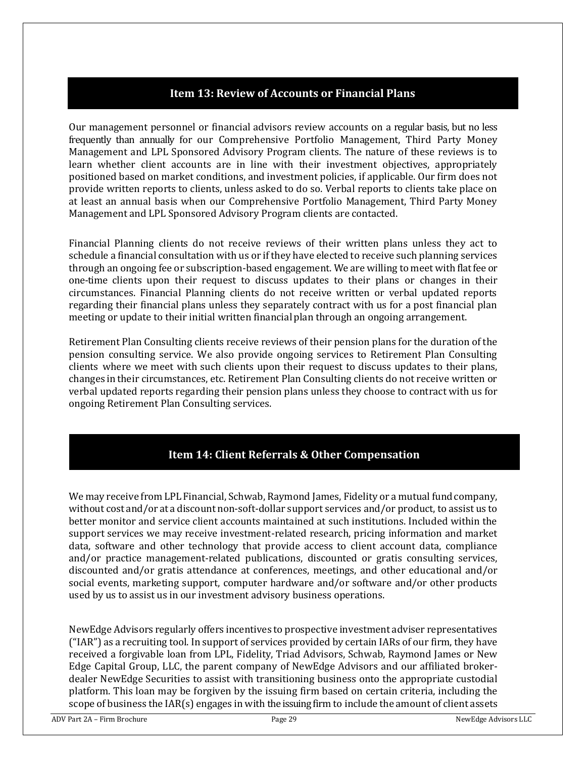## **Item 13: Review of Accounts or Financial Plans**

<span id="page-28-0"></span>Our management personnel or financial advisors review accounts on a regular basis, but no less frequently than annually for our Comprehensive Portfolio Management, Third Party Money Management and LPL Sponsored Advisory Program clients. The nature of these reviews is to learn whether client accounts are in line with their investment objectives, appropriately positioned based on market conditions, and investment policies, if applicable. Our firm does not provide written reports to clients, unless asked to do so. Verbal reports to clients take place on at least an annual basis when our Comprehensive Portfolio Management, Third Party Money Management and LPL Sponsored Advisory Program clients are contacted.

Financial Planning clients do not receive reviews of their written plans unless they act to schedule a financial consultation with us or if they have elected to receive such planning services through an ongoing fee or subscription-based engagement. We are willing to meet with flat fee or one-time clients upon their request to discuss updates to their plans or changes in their circumstances. Financial Planning clients do not receive written or verbal updated reports regarding their financial plans unless they separately contract with us for a post financial plan meeting or update to their initial written financial plan through an ongoing arrangement.

Retirement Plan Consulting clients receive reviews of their pension plans for the duration of the pension consulting service. We also provide ongoing services to Retirement Plan Consulting clients where we meet with such clients upon their request to discuss updates to their plans, changes in their circumstances, etc. Retirement Plan Consulting clients do not receive written or verbal updated reports regarding their pension plans unless they choose to contract with us for ongoing Retirement Plan Consulting services.

## **Item 14: Client Referrals & Other Compensation**

<span id="page-28-1"></span>We may receive from LPL Financial, Schwab, Raymond James, Fidelity or a mutual fundcompany, without cost and/or at a discount non-soft-dollar support services and/or product, to assist us to better monitor and service client accounts maintained at such institutions. Included within the support services we may receive investment-related research, pricing information and market data, software and other technology that provide access to client account data, compliance and/or practice management-related publications, discounted or gratis consulting services, discounted and/or gratis attendance at conferences, meetings, and other educational and/or social events, marketing support, computer hardware and/or software and/or other products used by us to assist us in our investment advisory business operations.

NewEdge Advisors regularly offers incentives to prospective investment adviser representatives ("IAR") as a recruiting tool. In support of services provided by certain IARs of our firm, they have received a forgivable loan from LPL, Fidelity, Triad Advisors, Schwab, Raymond James or New Edge Capital Group, LLC, the parent company of NewEdge Advisors and our affiliated brokerdealer NewEdge Securities to assist with transitioning business onto the appropriate custodial platform. This loan may be forgiven by the issuing firm based on certain criteria, including the scope of business the IAR(s) engages in with the issuing firm to include the amount of client assets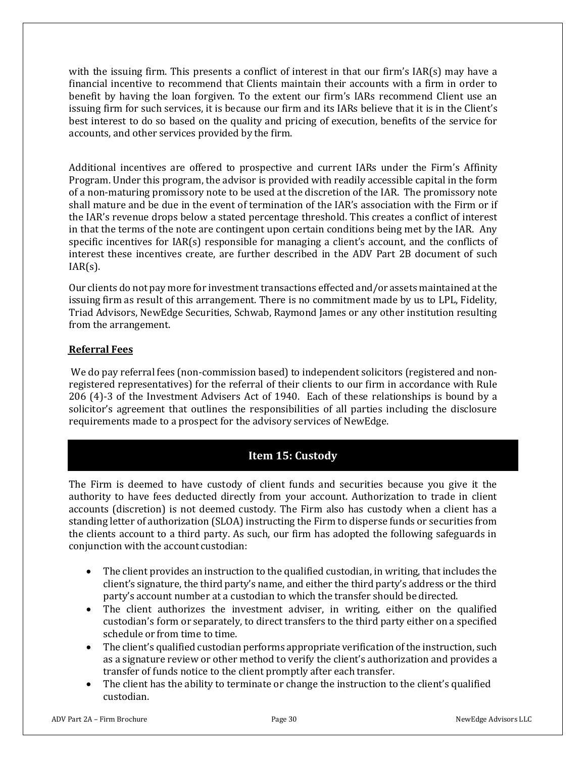with the issuing firm. This presents a conflict of interest in that our firm's IAR(s) may have a financial incentive to recommend that Clients maintain their accounts with a firm in order to benefit by having the loan forgiven. To the extent our firm's IARs recommend Client use an issuing firm for such services, it is because our firm and its IARs believe that it is in the Client's best interest to do so based on the quality and pricing of execution, benefits of the service for accounts, and other services provided by the firm.

Additional incentives are offered to prospective and current IARs under the Firm's Affinity Program. Under this program, the advisor is provided with readily accessible capital in the form of a non-maturing promissory note to be used at the discretion of the IAR. The promissory note shall mature and be due in the event of termination of the IAR's association with the Firm or if the IAR's revenue drops below a stated percentage threshold. This creates a conflict of interest in that the terms of the note are contingent upon certain conditions being met by the IAR. Any specific incentives for IAR(s) responsible for managing a client's account, and the conflicts of interest these incentives create, are further described in the ADV Part 2B document of such  $IAR(s)$ .

Our clients do not pay more for investmenttransactions effected and/or assets maintained at the issuing firm as result of this arrangement. There is no commitment made by us to LPL, Fidelity, Triad Advisors, NewEdge Securities, Schwab, Raymond James or any other institution resulting from the arrangement.

#### **Referral Fees**

We do pay referral fees (non-commission based) to independent solicitors (registered and nonregistered representatives) for the referral of their clients to our firm in accordance with Rule 206 (4)-3 of the Investment Advisers Act of 1940. Each of these relationships is bound by a solicitor's agreement that outlines the responsibilities of all parties including the disclosure requirements made to a prospect for the advisory services of NewEdge.

## **Item 15: Custody**

<span id="page-29-0"></span>The Firm is deemed to have custody of client funds and securities because you give it the authority to have fees deducted directly from your account. Authorization to trade in client accounts (discretion) is not deemed custody. The Firm also has custody when a client has a standing letter of authorization (SLOA) instructing the Firm to disperse funds or securities from the clients account to a third party. As such, our firm has adopted the following safeguards in conjunction with the account custodian:

- The client provides an instruction to the qualified custodian, in writing, that includes the client's signature, the third party's name, and either the third party's address or the third party's account number at a custodian to which the transfer should be directed.
- The client authorizes the investment adviser, in writing, either on the qualified custodian's form or separately, to direct transfers to the third party either on a specified schedule or from time to time.
- The client's qualified custodian performs appropriate verification of the instruction, such as a signature review or other method to verify the client's authorization and provides a transfer of funds notice to the client promptly after each transfer.
- The client has the ability to terminate or change the instruction to the client's qualified custodian.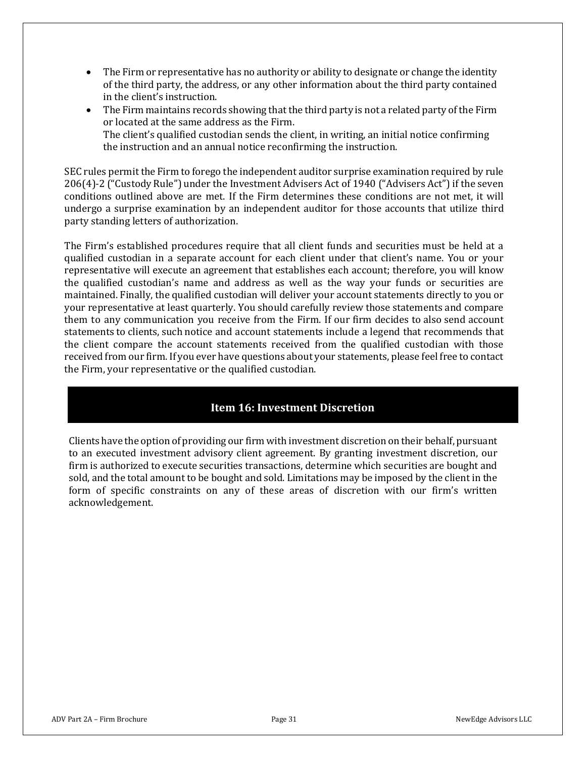- The Firm or representative has no authority or ability to designate or change the identity of the third party, the address, or any other information about the third party contained in the client's instruction.
- The Firm maintains records showing that the third party is not a related party of the Firm or located at the same address as the Firm. The client's qualified custodian sends the client, in writing, an initial notice confirming the instruction and an annual notice reconfirming the instruction.

SEC rules permit the Firm to forego the independent auditor surprise examination required by rule 206(4)‐2 ("Custody Rule") under the Investment Advisers Act of 1940 ("Advisers Act") if the seven conditions outlined above are met. If the Firm determines these conditions are not met, it will undergo a surprise examination by an independent auditor for those accounts that utilize third party standing letters of authorization.

The Firm's established procedures require that all client funds and securities must be held at a qualified custodian in a separate account for each client under that client's name. You or your representative will execute an agreement that establishes each account; therefore, you will know the qualified custodian's name and address as well as the way your funds or securities are maintained. Finally, the qualified custodian will deliver your account statements directly to you or your representative at least quarterly. You should carefully review those statements and compare them to any communication you receive from the Firm. If our firm decides to also send account statements to clients, such notice and account statements include a legend that recommends that the client compare the account statements received from the qualified custodian with those received from our firm. If you ever have questions about your statements, please feel free to contact the Firm, your representative or the qualified custodian.

## **Item 16: Investment Discretion**

<span id="page-30-0"></span>Clients have the option of providing our firm with investment discretion on their behalf, pursuant to an executed investment advisory client agreement. By granting investment discretion, our firm is authorized to execute securities transactions, determine which securities are bought and sold, and the total amount to be bought and sold. Limitations may be imposed by the client in the form of specific constraints on any of these areas of discretion with our firm's written acknowledgement.